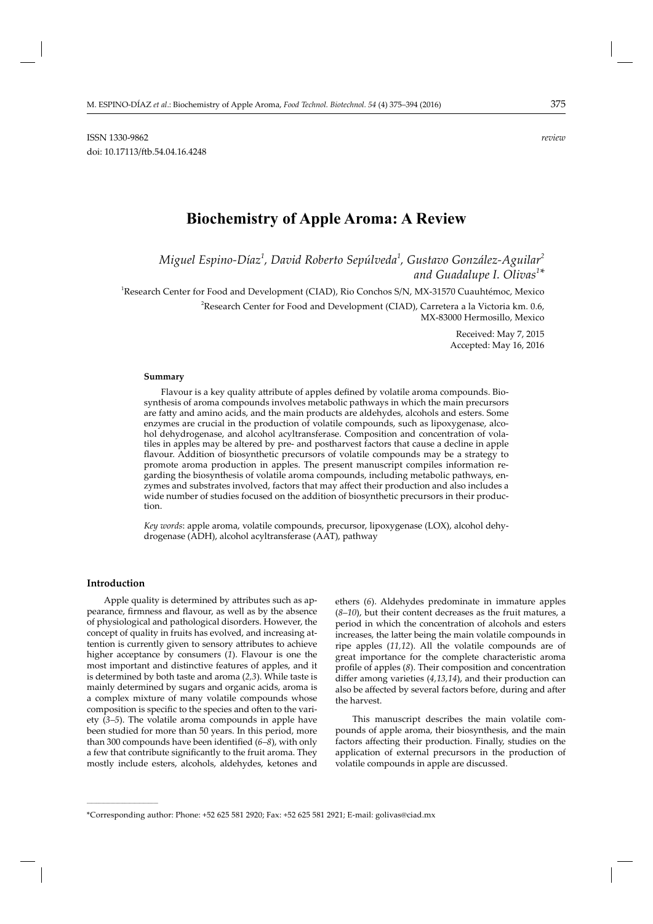# **Biochemistry of Apple Aroma: A Review**

*Miguel Espino-Díaz<sup>1</sup> , David Roberto Sepúlveda<sup>1</sup> , Gustavo González-Aguilar<sup>2</sup> and Guadalupe I. Olivas<sup>1</sup> \**

1 Research Center for Food and Development (CIAD), Rio Conchos S/N, MX-31570 Cuauhtémoc, Mexico

 $^2$ Research Center for Food and Development (CIAD), Carretera a la Victoria km. 0.6, MX-83000 Hermosillo, Mexico

> Received: May 7, 2015 Accepted: May 16, 2016

## **Summary**

Flavour is a key quality attribute of apples defined by volatile aroma compounds. Biosynthesis of aroma compounds involves metabolic pathways in which the main precursors are fatty and amino acids, and the main products are aldehydes, alcohols and esters. Some enzymes are crucial in the production of volatile compounds, such as lipoxygenase, alcohol dehydrogenase, and alcohol acyltransferase. Composition and concentration of volatiles in apples may be altered by pre- and postharvest factors that cause a decline in apple flavour. Addition of biosynthetic precursors of volatile compounds may be a strategy to promote aroma production in apples. The present manuscript compiles information regarding the biosynthesis of volatile aroma compounds, including metabolic pathways, enzymes and substrates involved, factors that may affect their production and also includes a wide number of studies focused on the addition of biosynthetic precursors in their production.

*Key words*: apple aroma, volatile compounds, precursor, lipoxygenase (LOX), alcohol dehydrogenase (ADH), alcohol acyltransferase (AAT), pathway

#### **Introduction**

**\_\_\_\_\_\_\_\_\_\_\_\_\_\_\_\_\_\_\_\_\_\_\_\_\_\_\_\_\_\_**

Apple quality is determined by attributes such as appearance, firmness and flavour, as well as by the absence of physiological and pathological disorders. However, the concept of quality in fruits has evolved, and increasing attention is currently given to sensory attributes to achieve higher acceptance by consumers (*1*). Flavour is one the most important and distinctive features of apples, and it is determined by both taste and aroma (*2,3*). While taste is mainly determined by sugars and organic acids, aroma is a complex mixture of many volatile compounds whose composition is specific to the species and often to the variety (*3–5*). The volatile aroma compounds in apple have been studied for more than 50 years. In this period, more than 300 compounds have been identified (6-8), with only a few that contribute significantly to the fruit aroma. They mostly include esters, alcohols, aldehydes, ketones and

ethers (*6*). Aldehydes predominate in immature apples (*8–10*), but their content decreases as the fruit matures, a period in which the concentration of alcohols and esters increases, the latter being the main volatile compounds in ripe apples (*11,12*). All the volatile compounds are of great importance for the complete characteristic aroma profile of apples (8). Their composition and concentration differ among varieties (4,13,14), and their production can also be affected by several factors before, during and after the harvest.

This manuscript describes the main volatile compounds of apple aroma, their biosynthesis, and the main factors affecting their production. Finally, studies on the application of external precursors in the production of volatile compounds in apple are discussed.

<sup>\*</sup>Corresponding author: Phone: +52 625 581 2920; Fax: +52 625 581 2921; E-mail: golivas@ciad.mx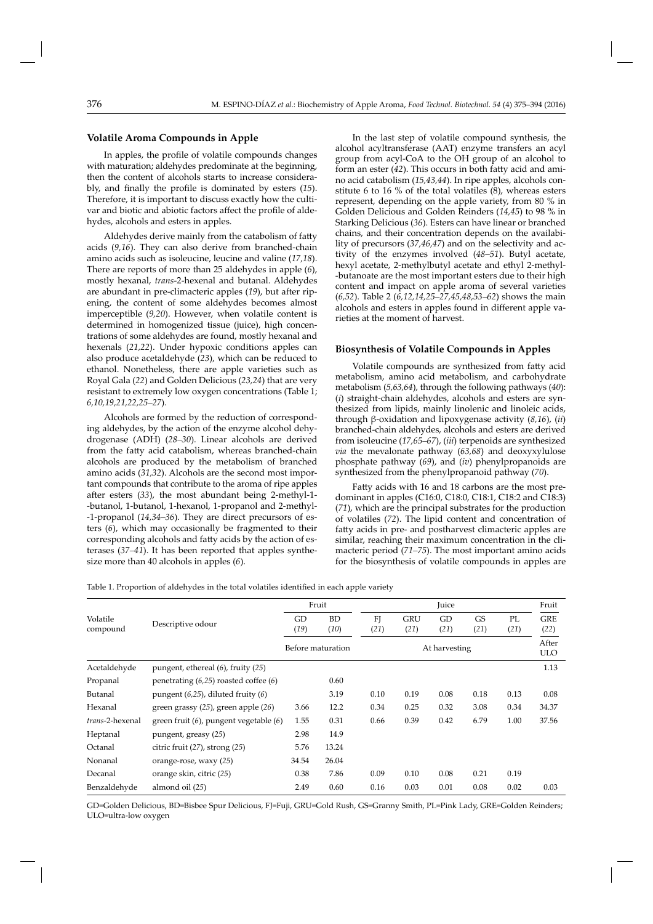# **Volatile Aroma Compounds in Apple**

In apples, the profile of volatile compounds changes with maturation; aldehydes predominate at the beginning, then the content of alcohols starts to increase considerably, and finally the profile is dominated by esters (15). Therefore, it is important to discuss exactly how the cultivar and biotic and abiotic factors affect the profile of aldehydes, alcohols and esters in apples.

Aldehydes derive mainly from the catabolism of fatty acids (*9,16*). They can also derive from branched-chain amino acids such as isoleucine, leucine and valine (*17,18*). There are reports of more than 25 aldehydes in apple (*6*), mostly hexanal, *trans*-2-hexenal and butanal. Aldehydes are abundant in pre-climacteric apples (19), but after ripening, the content of some aldehydes becomes almost imperceptible (9,20). However, when volatile content is determined in homogenized tissue (juice), high concentrations of some aldehydes are found, mostly hexanal and hexenals (*21,22*). Under hypoxic conditions apples can also produce acetaldehyde (*23*), which can be reduced to ethanol. Nonetheless, there are apple varieties such as Royal Gala (*22*) and Golden Delicious (*23,24*) that are very resistant to extremely low oxygen concentrations (Table 1; *6,10,19,21,22,25–27*).

Alcohols are formed by the reduction of corresponding aldehydes, by the action of the enzyme alcohol dehydrogenase (ADH) (*28–30*). Linear alcohols are derived from the fatty acid catabolism, whereas branched-chain alcohols are produced by the metabolism of branched amino acids (*31,32*). Alcohols are the second most important compounds that contribute to the aroma of ripe apples after esters (33), the most abundant being 2-methyl-1--butanol, 1-butanol, 1-hexanol, 1-propanol and 2-methyl- -1-propanol (*14,34–36*). They are direct precursors of esters (*6*), which may occasionally be fragmented to their corresponding alcohols and fatty acids by the action of esterases (*37–41*). It has been reported that apples synthesize more than 40 alcohols in apples (*6*).

In the last step of volatile compound synthesis, the alcohol acyltransferase (AAT) enzyme transfers an acyl group from acyl-CoA to the OH group of an alcohol to form an ester (42). This occurs in both fatty acid and amino acid catabolism (*15,43,44*). In ripe apples, alcohols constitute 6 to 16 % of the total volatiles (8), whereas esters represent, depending on the apple variety, from 80 % in Golden Delicious and Golden Reinders (*14,45*) to 98 % in Starking Delicious (*36*). Esters can have linear or branched chains, and their concentration depends on the availability of precursors (*37,46,47*) and on the selectivity and activity of the enzymes involved (*48–51*). Butyl acetate, hexyl acetate, 2-methylbutyl acetate and ethyl 2-methyl--butanoate are the most important esters due to their high content and impact on apple aroma of several varieties (*6,52*). Table 2 (*6,12,14,25–27,45,48,53–62*) shows the main alcohols and esters in apples found in different apple varieties at the moment of harvest.

# **Biosynthesis of Volatile Compounds in Apples**

Volatile compounds are synthesized from fatty acid metabolism, amino acid metabolism, and carbohydrate metabolism (*5,63,64*), through the following pathways (*40*): (*i*) straight-chain aldehydes, alcohols and esters are synthesized from lipids, mainly linolenic and linoleic acids, through β-oxidation and lipoxygenase activity (*8,16*), (*ii*) branched-chain aldehydes, alcohols and esters are derived from isoleucine (*17,65–67*), (*iii*) terpenoids are synthesized *via* the mevalonate pathway (*63,68*) and deoxyxylulose phosphate pathway (*69*), and (*iv*) phenylpropanoids are synthesized from the phenylpropanoid pathway (*70*).

Fatty acids with 16 and 18 carbons are the most predominant in apples (C16:0, C18:0, C18:1, C18:2 and C18:3) (*71*), which are the principal substrates for the production of volatiles (*72*). The lipid content and concentration of fatty acids in pre- and postharvest climacteric apples are similar, reaching their maximum concentration in the climacteric period (*71–75*). The most important amino acids for the biosynthesis of volatile compounds in apples are

Table 1. Proportion of aldehydes in the total volatiles identified in each apple variety

|                      |                                             |            | Fruit             |                        |                    | Juice         |            |            | Fruit               |
|----------------------|---------------------------------------------|------------|-------------------|------------------------|--------------------|---------------|------------|------------|---------------------|
| Volatile<br>compound | Descriptive odour                           | GD<br>(19) | <b>BD</b><br>(10) | F <sub>I</sub><br>(21) | <b>GRU</b><br>(21) | GD<br>(21)    | GS<br>(21) | PL<br>(21) | <b>GRE</b><br>(22)  |
|                      |                                             |            | Before maturation |                        |                    | At harvesting |            |            | After<br><b>ULO</b> |
| Acetaldehyde         | pungent, ethereal $(6)$ , fruity $(25)$     |            |                   |                        |                    |               |            |            | 1.13                |
| Propanal             | penetrating $(6,25)$ roasted coffee $(6)$   |            | 0.60              |                        |                    |               |            |            |                     |
| Butanal              | pungent $(6,25)$ , diluted fruity $(6)$     |            | 3.19              | 0.10                   | 0.19               | 0.08          | 0.18       | 0.13       | 0.08                |
| Hexanal              | green grassy $(25)$ , green apple $(26)$    | 3.66       | 12.2              | 0.34                   | 0.25               | 0.32          | 3.08       | 0.34       | 34.37               |
| trans-2-hexenal      | green fruit $(6)$ , pungent vegetable $(6)$ | 1.55       | 0.31              | 0.66                   | 0.39               | 0.42          | 6.79       | 1.00       | 37.56               |
| Heptanal             | pungent, greasy (25)                        | 2.98       | 14.9              |                        |                    |               |            |            |                     |
| Octanal              | citric fruit $(27)$ , strong $(25)$         | 5.76       | 13.24             |                        |                    |               |            |            |                     |
| Nonanal              | orange-rose, waxy (25)                      | 34.54      | 26.04             |                        |                    |               |            |            |                     |
| Decanal              | orange skin, citric (25)                    | 0.38       | 7.86              | 0.09                   | 0.10               | 0.08          | 0.21       | 0.19       |                     |
| Benzaldehyde         | almond oil (25)                             | 2.49       | 0.60              | 0.16                   | 0.03               | 0.01          | 0.08       | 0.02       | 0.03                |

GD=Golden Delicious, BD=Bisbee Spur Delicious, FJ=Fuji, GRU=Gold Rush, GS=Granny Smith, PL=Pink Lady, GRE=Golden Reinders; ULO=ultra-low oxygen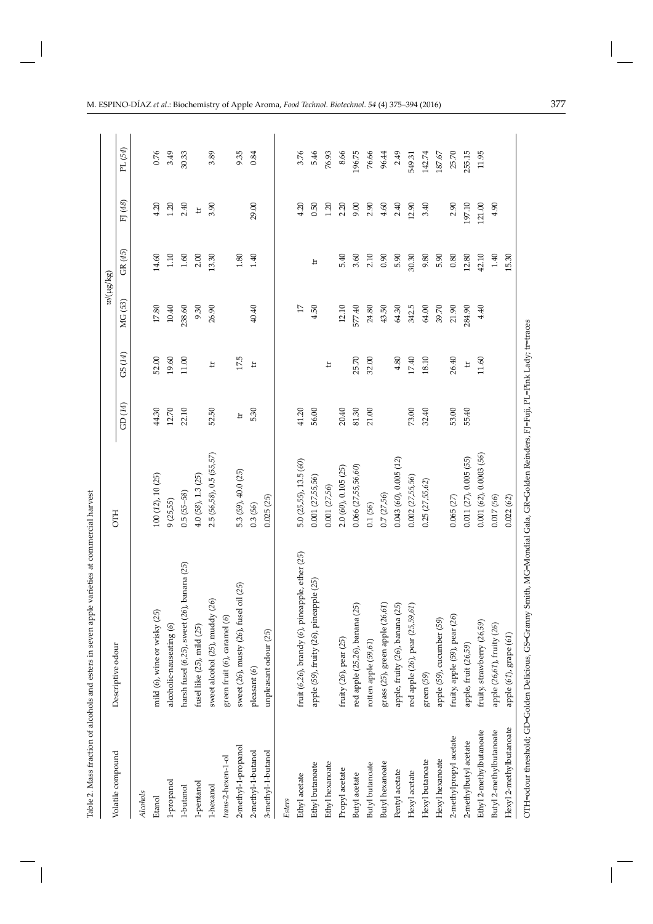|                         |                                                     |                        |        |                         |                | $w/(\mu g/\kappa g)$ |         |         |
|-------------------------|-----------------------------------------------------|------------------------|--------|-------------------------|----------------|----------------------|---------|---------|
| Volatile compound       | Descriptive odour                                   | <b>CTH</b>             | GD(14) | GS (14)                 | MG (53)        | GR (45)              | FJ (48) | PL (54) |
| Alcohols                |                                                     |                        |        |                         |                |                      |         |         |
| Etanol                  | mild $(6)$ , wine or wisky $(25)$                   | 100 (12), 10 (25)      | 44.30  | 52.00                   | $17.80\,$      | 14.60                | 4.20    | 0.76    |
| 1-propanol              | alcoholic-nauseating (6)                            | 9(25,55)               | 12.70  | 19.60                   | 10.40          | $1.10$               | 1.20    | 3.49    |
| 1-butanol               | harsh fusel $(6,25)$ , sweet $(26)$ , banana $(25)$ | $0.5(55-58)$           | 22.10  | $11.00$                 | 238.60         | $1.60\,$             | 2.40    | 30.33   |
| 1-pentanol              | fusel like $(25)$ , mild $(25)$                     | $4.0(58)$ , 1.3 $(25)$ |        |                         | 9.30           | 2.00                 | $\pm$   |         |
| 1-hexanol               | sweet alcohol (25), muddy (26)                      | 2.5(56,58), 0.5(55,57) | 52.50  | 뵤                       | 26.90          | 13.30                | 3.90    | 3.89    |
| trans-2-hexen-1-ol      | green fruit (6), caramel (6)                        |                        |        |                         |                |                      |         |         |
| 2-methyl-1-propanol     | sweet (26), musty (26), fusel oil (25)              | 5.3 (59), 40.0 (25)    | $\pm$  | 17.5                    |                | 1.80                 |         | 9.35    |
| 2-methyl-1-butanol      | pleasant (6)                                        | 0.3(56)                | 5.30   | $\overline{\mathbf{u}}$ | 40.40          | 1.40                 | 29.00   | 0.84    |
| 3-methyl-1-butanol      | unpleasant odour (25)                               | 0.025(25)              |        |                         |                |                      |         |         |
| Esters                  |                                                     |                        |        |                         |                |                      |         |         |
| Ethyl acetate           | fruit (6,26), brandy (6), pineapple, ether (25)     | 5.0(25,55), 13.5(60)   | 41.20  |                         | $\overline{1}$ |                      | 4.20    | 3.76    |
| Ethyl butanoate         | apple (59), fruity (26), pineapple (25)             | 0.001 (27,55,56)       | 56.00  |                         | 4.50           | 부                    | 0.50    | 5.46    |
| Ethyl hexanoate         |                                                     | 0.001 (27,56)          |        | $\pm$                   |                |                      | 1.20    | 76.93   |
| Propyl acetate          | fruity (26), pear (25)                              | 2.0 (60), 0.105 (25)   | 20.40  |                         | 12.10          | 5.40                 | 2.20    | 8.66    |
| Butyl acetate           | red apple (25,26), banana (25)                      | 0.066(27,55,56,60)     | 81.30  | 25.70                   | 577.40         | 3.60                 | 9.00    | 196.75  |
| Butyl butanoate         | rotten apple (59,61)                                | 0.1(56)                | 21.00  | 32.00                   | 24.80          | 2.10                 | 2.90    | 76.66   |
| Butyl hexanoate         | grass (25), green apple (26,61)                     | 0.7(27,56)             |        |                         | 43.50          | 0.90                 | 4.60    | 96.44   |
| Pentyl acetate          | apple, fruity (26), banana (25)                     | 0.043(60), 0.005(12)   |        | 4.80                    | 64.30          | 5.90                 | 2.40    | 2.49    |
| Hexyl acetate           | red apple (26), pear (25,59,61)                     | 0.002(27,55,56)        | 73.00  | $17.40\,$               | 342.5          | 30.30                | 12.90   | 549.31  |
| Hexyl butanoate         | green (59)                                          | 0.25(27,55,62)         | 32.40  | 18.10                   | 64.00          | 9.80                 | 3.40    | 142.74  |
| Hexyl hexanoate         | apple (59), cucumber (59)                           |                        |        |                         | 39.70          | 5.90                 |         | 187.67  |
| 2-methylpropyl acetate  | fruity, apple (59), pear (26)                       | 0.065(27)              | 53.00  | 26.40                   | 21.90          | 0.80                 | 2.90    | 25.70   |
| 2-methylbutyl acetate   | apple, fruit (26,59)                                | 0.011(27), 0.005(55)   | 55.40  | $\Xi$                   | 284.90         | 12.80                | 197.10  | 255.15  |
| Ethyl 2-methylbutanoate | fruity, strawberry (26,59)                          | 0.001(62), 0.0003(56)  |        | 11.60                   | 4.40           | 42.10                | 121.00  | 11.95   |
| Butyl 2-methylbutanoate | apple (26,61), fruity (26)                          | 0.017(56)              |        |                         |                | 1.40                 | 4.90    |         |
| Hexyl 2-methylbutanoate | apple (61), grape (61)                              | 0.022(62)              |        |                         |                | 15.30                |         |         |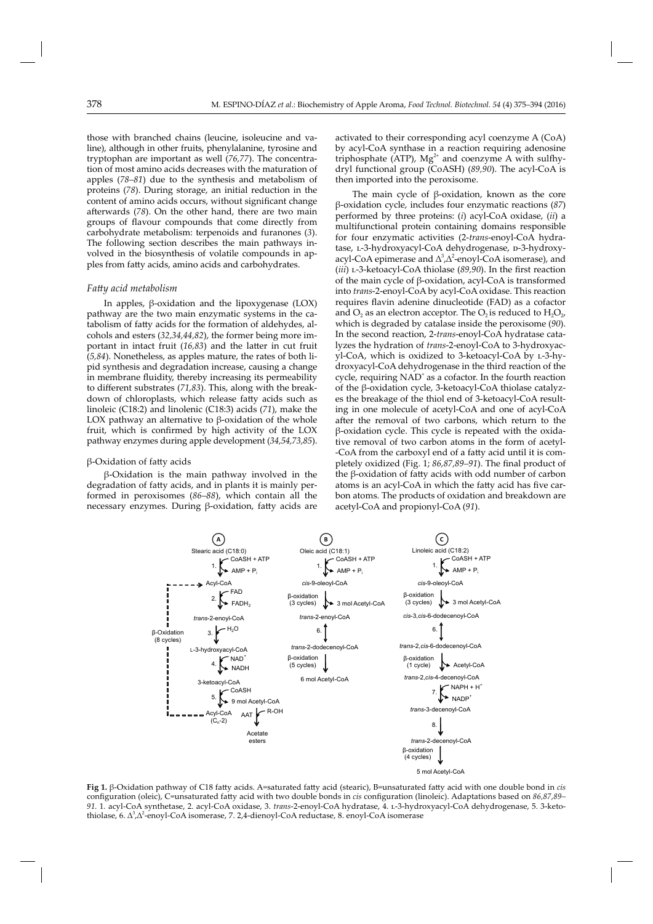those with branched chains (leucine, isoleucine and valine), although in other fruits, phenylalanine, tyrosine and tryptophan are important as well (*76,77*). The concentration of most amino acids decreases with the maturation of apples (*78–81*) due to the synthesis and metabolism of proteins (*78*). During storage, an initial reduction in the content of amino acids occurs, without significant change afterwards (78). On the other hand, there are two main groups of flavour compounds that come directly from carbohydrate metabolism: terpenoids and furanones (*3*). The following section describes the main pathways involved in the biosynthesis of volatile compounds in apples from fatty acids, amino acids and carbohydrates.

#### *Fatt y acid metabolism*

In apples, β-oxidation and the lipoxygenase (LOX) pathway are the two main enzymatic systems in the catabolism of fatty acids for the formation of aldehydes, alcohols and esters (*32,34,44,82*), the former being more important in intact fruit (16,83) and the latter in cut fruit (*5,84*). Nonetheless, as apples mature, the rates of both lipid synthesis and degradation increase, causing a change in membrane fluidity, thereby increasing its permeability to different substrates (71,83). This, along with the breakdown of chloroplasts, which release fatty acids such as linoleic (C18:2) and linolenic (C18:3) acids (*71*), make the LOX pathway an alternative to  $β$ -oxidation of the whole fruit, which is confirmed by high activity of the LOX pathway enzymes during apple development (*34,54,73,85*).

#### $β$ -Oxidation of fatty acids

β-Oxidation is the main pathway involved in the degradation of fatty acids, and in plants it is mainly performed in peroxisomes (*86–88*), which contain all the necessary enzymes. During β-oxidation, fatty acids are

activated to their corresponding acyl coenzyme A (CoA) by acyl-CoA synthase in a reaction requiring adenosine triphosphate (ATP),  $Mg^{2+}$  and coenzyme A with sulfhydryl functional group (CoASH) (*89,90*). The acyl-CoA is then imported into the peroxisome.

The main cycle of β-oxidation, known as the core β-oxidation cycle, includes four enzymatic reactions (*87*) performed by three proteins: (*i*) acyl-CoA oxidase, (*ii*) a multifunctional protein containing domains responsible for four enzymatic activities (2-*trans*-enoyl-CoA hydratase, L-3-hydroxyacyl-CoA dehydrogenase, p-3-hydroxyacyl-CoA epimerase and  $\Delta^3$ , $\Delta^2$ -enoyl-CoA isomerase), and (*iii*) L-3-ketoacyl-CoA thiolase (89,90). In the first reaction of the main cycle of β-oxidation, acyl-CoA is transformed into *trans*-2-enoyl-CoA by acyl-CoA oxidase. This reaction requires flavin adenine dinucleotide (FAD) as a cofactor and  $O_2$  as an electron acceptor. The  $O_2$  is reduced to  $H_2O_{2}$ , which is degraded by catalase inside the peroxisome (*90*). In the second reaction, 2-*trans*-enoyl-CoA hydratase catalyzes the hydration of *trans*-2-enoyl-CoA to 3-hydroxyacyl-CoA, which is oxidized to 3-ketoacyl-CoA by l-3-hydroxyacyl-CoA dehydrogenase in the third reaction of the cycle, requiring NAD<sup>+</sup> as a cofactor. In the fourth reaction of the β-oxidation cycle, 3-ketoacyl-CoA thiolase catalyzes the breakage of the thiol end of 3-ketoacyl-CoA resulting in one molecule of acetyl-CoA and one of acyl-CoA after the removal of two carbons, which return to the β-oxidation cycle. This cycle is repeated with the oxidative removal of two carbon atoms in the form of acetyl- -CoA from the carboxyl end of a fatty acid until it is completely oxidized (Fig. 1; *86,87,89–91*). The final product of the  $\beta$ -oxidation of fatty acids with odd number of carbon atoms is an acyl-CoA in which the fatty acid has five carbon atoms. The products of oxidation and breakdown are acetyl-CoA and propionyl-CoA (*91*).



Fig 1. β-Oxidation pathway of C18 fatty acids. A=saturated fatty acid (stearic), B=unsaturated fatty acid with one double bond in *cis* configuration (oleic), C=unsaturated fatty acid with two double bonds in *cis* configuration (linoleic). Adaptations based on 86,87,89– *91.* 1*.* acyl-CoA synthetase, 2. acyl-CoA oxidase, 3. *trans*-2-enoyl-CoA hydratase, 4. l-3-hydroxyacyl-CoA dehydrogenase, 5. 3-ketothiolase, 6. ∆<sup>3</sup> ,∆<sup>2</sup> -enoyl-CoA isomerase, 7. 2,4-dienoyl-CoA reductase, 8. enoyl-CoA isomerase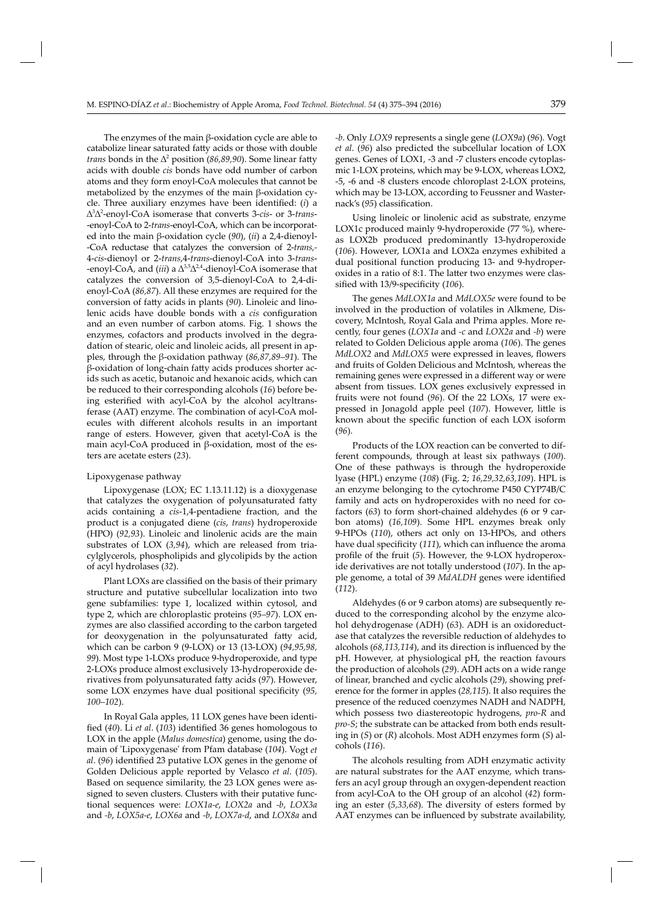The enzymes of the main β-oxidation cycle are able to catabolize linear saturated fatty acids or those with double *trans* bonds in the  $\Delta^2$  position (*86,89,90*). Some linear fatty acids with double *cis* bonds have odd number of carbon atoms and they form enoyl-CoA molecules that cannot be metabolized by the enzymes of the main β-oxidation cycle. Three auxiliary enzymes have been identified: (i) a ∆3 ∆2 -enoyl-CoA isomerase that converts 3-*cis*- or 3-*trans*- -enoyl-CoA to 2-*trans*-enoyl-CoA, which can be incorporat ed into the main β-oxidation cycle (*90*), (*ii*) a 2,4-dienoyl- -CoA reductase that catalyzes the conversion of 2-*trans,-*  4-*cis*-dienoyl or 2-*trans*,4-*trans*-dienoyl-CoA into 3-*trans*- -enoyl-CoA, and (*iii*) a Δ<sup>3,5</sup>Δ<sup>2,4</sup>-dienoyl-CoA isomerase that catalyzes the conversion of 3,5-dienoyl-CoA to 2,4-dienoyl-CoA (*86,87*). All these enzymes are required for the conversion of fatty acids in plants (90). Linoleic and linolenic acids have double bonds with a *cis* configuration and an even number of carbon atoms. Fig. 1 shows the enzymes, cofactors and products involved in the degradation of stearic, oleic and linoleic acids, all present in apples, through the β-oxidation pathway (*86,87,89–91*). The β-oxidation of long-chain fatty acids produces shorter acids such as acetic, butanoic and hexanoic acids, which can be reduced to their corresponding alcohols (*16*) before being esterified with acyl-CoA by the alcohol acyltransferase (AAT) enzyme. The combination of acyl-CoA molecules with different alcohols results in an important range of esters. However, given that acetyl-CoA is the main acyl-CoA produced in β-oxidation, most of the esters are acetate esters (*23*).

#### Lipoxygenase pathway

Lipoxygenase (LOX; EC 1.13.11.12) is a dioxygenase that catalyzes the oxygenation of polyunsaturated fatty acids containing a *cis*-1,4-pentadiene fraction, and the product is a conjugated diene (*cis*, *trans*) hydroperoxide (HPO) (*92,93*). Linoleic and linolenic acids are the main substrates of LOX (*3,94*), which are released from triacylglycerols, phospholipids and glycolipids by the action of acyl hydrolases (*32*).

Plant LOXs are classified on the basis of their primary structure and putative subcellular localization into two gene subfamilies: type 1, localized within cytosol, and type 2, which are chloroplastic proteins (*95–97*). LOX enzymes are also classified according to the carbon targeted for deoxygenation in the polyunsaturated fatty acid, which can be carbon 9 (9-LOX) or 13 (13-LOX) (*94,95,98, 99*). Most type 1-LOXs produce 9-hydroperoxide, and type 2-LOXs produce almost exclusively 13-hydroperoxide derivatives from polyunsaturated fatty acids (97). However, some LOX enzymes have dual positional specificity (95, *100–102*).

In Royal Gala apples, 11 LOX genes have been identified (40). Li *et al.* (103) identified 36 genes homologous to LOX in the apple (*Malus domestica*) genome, using the domain of 'Lipoxygenase' from Pfam database (*104*). Vogt *et al.* (96) identified 23 putative LOX genes in the genome of Golden Delicious apple reported by Velasco *et al*. (*105*). Based on sequence similarity, the 23 LOX genes were assigned to seven clusters. Clusters with their putative functional sequences were: *LOX1a-e*, *LOX2a* and *-b*, *LOX3a*  and *-b*, *LOX5a-e*, *LOX6a* and *-b*, *LOX7a-d*, and *LOX8a* and

*-b*. Only *LOX9* represents a single gene (*LOX9a*) (*96*). Vogt *et al*. (*96*) also predicted the subcellular location of LOX genes. Genes of LOX1, -3 and -7 clusters encode cytoplasmic 1-LOX proteins, which may be 9-LOX, whereas LOX2, -5, -6 and -8 clusters encode chloroplast 2-LOX proteins, which may be 13-LOX, according to Feussner and Wasternack's (95) classification.

Using linoleic or linolenic acid as substrate, enzyme LOX1c produced mainly 9-hydroperoxide (77 %), whereas LOX2b produced predominantly 13-hydroperoxide (*106*). However, LOX1a and LOX2a enzymes exhibited a dual positional function producing 13- and 9-hydroperoxides in a ratio of 8:1. The latter two enzymes were classified with 13/9-specificity (106).

The genes *MdLOX1a* and *MdLOX5e* were found to be involved in the production of volatiles in Alkmene, Discovery, McIntosh, Royal Gala and Prima apples. More recently, four genes (*LOX1a* and *-c* and *LOX2a* and *-b*) were related to Golden Delicious apple aroma (*106*). The genes *MdLOX2* and *MdLOX5* were expressed in leaves, flowers and fruits of Golden Delicious and McIntosh, whereas the remaining genes were expressed in a different way or were absent from tissues. LOX genes exclusively expressed in fruits were not found (*96*). Of the 22 LOXs, 17 were expressed in Jonagold apple peel (107). However, little is known about the specific function of each LOX isoform (*96*).

Products of the LOX reaction can be converted to different compounds, through at least six pathways (*100*). One of these pathways is through the hydroperoxide lyase (HPL) enzyme (*108*) (Fig. 2; *16,29,32,63,109*). HPL is an enzyme belonging to the cytochrome P450 CYP74B/C family and acts on hydroperoxides with no need for cofactors (*63*) to form short-chained aldehydes (6 or 9 carbon atoms) (*16,109*). Some HPL enzymes break only 9-HPOs (*110*), others act only on 13-HPOs, and others have dual specificity (111), which can influence the aroma profile of the fruit (5). However, the 9-LOX hydroperoxide derivatives are not totally understood (*107*). In the apple genome, a total of 39 *MdALDH* genes were identified (*112*).

Aldehydes (6 or 9 carbon atoms) are subsequently reduced to the corresponding alcohol by the enzyme alcohol dehydrogenase (ADH) (*63*). ADH is an oxidoreductase that catalyzes the reversible reduction of aldehydes to alcohols (68,113,114), and its direction is influenced by the pH. However, at physiological pH, the reaction favours the production of alcohols (*29*). ADH acts on a wide range of linear, branched and cyclic alcohols (*29*), showing preference for the former in apples (*28,115*). It also requires the presence of the reduced coenzymes NADH and NADPH, which possess two diastereotopic hydrogens, *pro-R* and pro-S; the substrate can be attacked from both ends resulting in (*S*) or (*R*) alcohols. Most ADH enzymes form (*S*) alcohols (*116*).

The alcohols resulting from ADH enzymatic activity are natural substrates for the AAT enzyme, which transfers an acyl group through an oxygen-dependent reaction from acyl-CoA to the OH group of an alcohol (*42*) forming an ester (*5,33,68*). The diversity of esters formed by AAT enzymes can be influenced by substrate availability,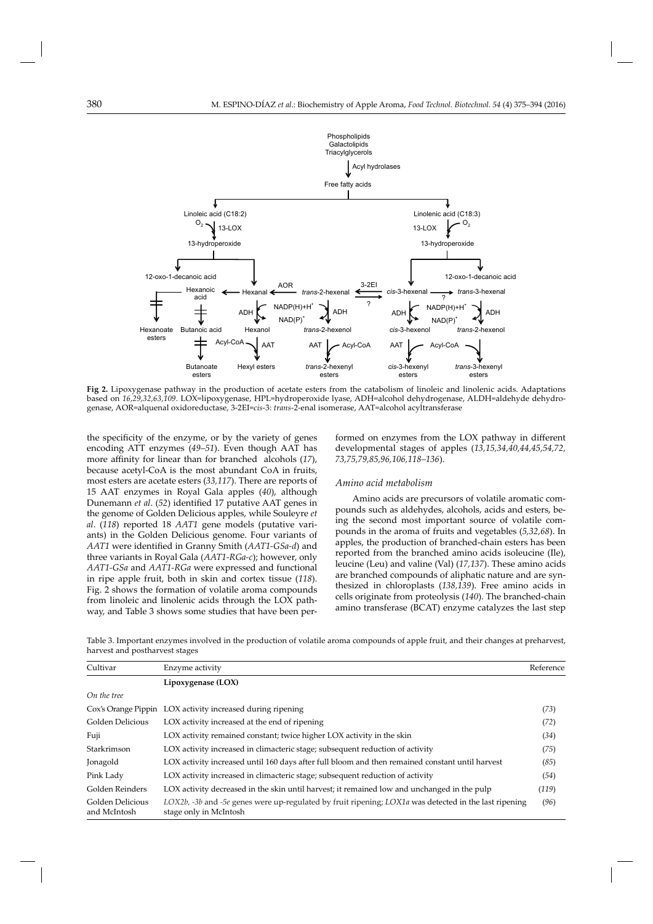

**Fig 2.** Lipoxygenase pathway in the production of acetate esters from the catabolism of linoleic and linolenic acids. Adaptations based on *16,29,32,63,109*. LOX=lipoxygenase, HPL=hydroperoxide lyase, ADH=alcohol dehydrogenase, ALDH=aldehyde dehydrogenase, AOR=alquenal oxidoreductase, 3-2EI=*cis*-3: *trans*-2-enal isomerase, AAT=alcohol acyltransferase

the specificity of the enzyme, or by the variety of genes encoding ATT enzymes (*49–51*). Even though AAT has more affinity for linear than for branched alcohols (17), because acetyl-CoA is the most abundant CoA in fruits, most esters are acetate esters (*33,117*). There are reports of 15 AAT enzymes in Royal Gala apples (*40*), although Dunemann et al. (52) identified 17 putative AAT genes in the genome of Golden Delicious apples, while Souleyre *et al*. (*118*) reported 18 *AAT1* gene models (putative variants) in the Golden Delicious genome. Four variants of *AAT1* were identified in Granny Smith (*AAT1-GSa-d*) and three variants in Royal Gala (*AAT1-RGa-c*); however, only *AAT1-GSa* and *AAT1-RGa* were expressed and functional in ripe apple fruit, both in skin and cortex tissue (*118*). Fig. 2 shows the formation of volatile aroma compounds from linoleic and linolenic acids through the LOX pathway, and Table 3 shows some studies that have been performed on enzymes from the LOX pathway in different developmental stages of apples (*13,15,34,40,44,45,54,72, 73,75,79,85,96,106,118–136*).

# *Amino acid metabolism*

Amino acids are precursors of volatile aromatic compounds such as aldehydes, alcohols, acids and esters, being the second most important source of volatile compounds in the aroma of fruits and vegetables (*5,32,68*). In apples, the production of branched-chain esters has been reported from the branched amino acids isoleucine (Ile), leucine (Leu) and valine (Val) (*17,137*). These amino acids are branched compounds of aliphatic nature and are synthesized in chloroplasts (*138,139*). Free amino acids in cells originate from proteolysis (*140*). The branched-chain amino transferase (BCAT) enzyme catalyzes the last step

| Table 3. Important enzymes involved in the production of volatile aroma compounds of apple fruit, and their changes at preharvest, |  |  |
|------------------------------------------------------------------------------------------------------------------------------------|--|--|
| harvest and postharvest stages                                                                                                     |  |  |

| Cultivar                         | Enzyme activity                                                                                                                      | Reference |
|----------------------------------|--------------------------------------------------------------------------------------------------------------------------------------|-----------|
|                                  | Lipoxygenase (LOX)                                                                                                                   |           |
| On the tree                      |                                                                                                                                      |           |
|                                  | Cox's Orange Pippin LOX activity increased during ripening                                                                           | (73)      |
| Golden Delicious                 | LOX activity increased at the end of ripening                                                                                        | (72)      |
| Fuji                             | LOX activity remained constant; twice higher LOX activity in the skin                                                                | (34)      |
| Starkrimson                      | LOX activity increased in climacteric stage; subsequent reduction of activity                                                        | (75)      |
| Jonagold                         | LOX activity increased until 160 days after full bloom and then remained constant until harvest                                      | (85)      |
| Pink Lady                        | LOX activity increased in climacteric stage; subsequent reduction of activity                                                        | (54)      |
| Golden Reinders                  | LOX activity decreased in the skin until harvest; it remained low and unchanged in the pulp                                          | (119)     |
| Golden Delicious<br>and McIntosh | $LOX2b$ , -3b and -5e genes were up-regulated by fruit ripening; $LOX1a$ was detected in the last ripening<br>stage only in McIntosh | (96)      |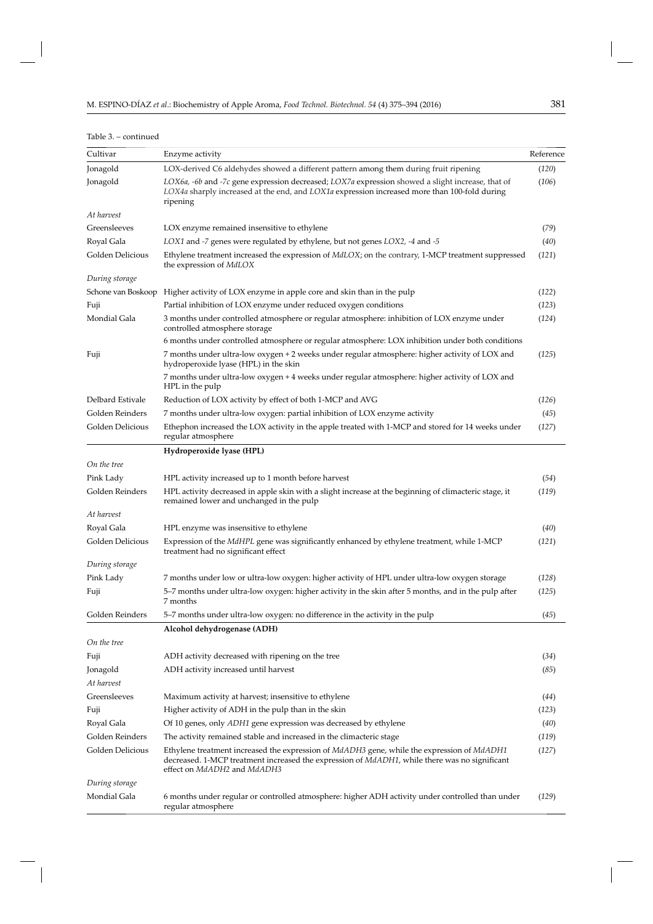| v            |             |  |
|--------------|-------------|--|
| I<br>×<br>۰. | I<br>×<br>٠ |  |

# Table 3. – continued

| Cultivar         | Enzyme activity                                                                                                                                                                                                                                  | Reference |
|------------------|--------------------------------------------------------------------------------------------------------------------------------------------------------------------------------------------------------------------------------------------------|-----------|
| Jonagold         | LOX-derived C6 aldehydes showed a different pattern among them during fruit ripening                                                                                                                                                             | (120)     |
| Jonagold         | LOX6a, -6b and -7c gene expression decreased; LOX7a expression showed a slight increase, that of<br>LOX4a sharply increased at the end, and LOX1a expression increased more than 100-fold during<br>ripening                                     | (106)     |
| At harvest       |                                                                                                                                                                                                                                                  |           |
| Greensleeves     | LOX enzyme remained insensitive to ethylene                                                                                                                                                                                                      | (79)      |
| Royal Gala       | LOX1 and -7 genes were regulated by ethylene, but not genes LOX2, -4 and -5                                                                                                                                                                      | (40)      |
| Golden Delicious | Ethylene treatment increased the expression of MdLOX; on the contrary, 1-MCP treatment suppressed<br>the expression of <i>MdLOX</i>                                                                                                              | (121)     |
| During storage   |                                                                                                                                                                                                                                                  |           |
|                  | Schone van Boskoop Higher activity of LOX enzyme in apple core and skin than in the pulp                                                                                                                                                         | (122)     |
| Fuji             | Partial inhibition of LOX enzyme under reduced oxygen conditions                                                                                                                                                                                 | (123)     |
| Mondial Gala     | 3 months under controlled atmosphere or regular atmosphere: inhibition of LOX enzyme under<br>controlled atmosphere storage                                                                                                                      | (124)     |
|                  | 6 months under controlled atmosphere or regular atmosphere: LOX inhibition under both conditions                                                                                                                                                 |           |
| Fuji             | 7 months under ultra-low oxygen + 2 weeks under regular atmosphere: higher activity of LOX and<br>hydroperoxide lyase (HPL) in the skin                                                                                                          | (125)     |
|                  | 7 months under ultra-low oxygen + 4 weeks under regular atmosphere: higher activity of LOX and<br>HPL in the pulp                                                                                                                                |           |
| Delbard Estivale | Reduction of LOX activity by effect of both 1-MCP and AVG                                                                                                                                                                                        | (126)     |
| Golden Reinders  | 7 months under ultra-low oxygen: partial inhibition of LOX enzyme activity                                                                                                                                                                       | (45)      |
| Golden Delicious | Ethephon increased the LOX activity in the apple treated with 1-MCP and stored for 14 weeks under<br>regular atmosphere                                                                                                                          | (127)     |
|                  | Hydroperoxide lyase (HPL)                                                                                                                                                                                                                        |           |
| On the tree      |                                                                                                                                                                                                                                                  |           |
| Pink Lady        | HPL activity increased up to 1 month before harvest                                                                                                                                                                                              | (54)      |
| Golden Reinders  | HPL activity decreased in apple skin with a slight increase at the beginning of climacteric stage, it<br>remained lower and unchanged in the pulp                                                                                                | (119)     |
| At harvest       |                                                                                                                                                                                                                                                  |           |
| Royal Gala       | HPL enzyme was insensitive to ethylene                                                                                                                                                                                                           | (40)      |
| Golden Delicious | Expression of the MdHPL gene was significantly enhanced by ethylene treatment, while 1-MCP<br>treatment had no significant effect                                                                                                                | (121)     |
| During storage   |                                                                                                                                                                                                                                                  |           |
| Pink Lady        | 7 months under low or ultra-low oxygen: higher activity of HPL under ultra-low oxygen storage                                                                                                                                                    | (128)     |
| Fuji             | 5-7 months under ultra-low oxygen: higher activity in the skin after 5 months, and in the pulp after<br>7 months                                                                                                                                 | (125)     |
| Golden Reinders  | 5–7 months under ultra-low oxygen: no difference in the activity in the pulp                                                                                                                                                                     | (45)      |
|                  | Alcohol dehydrogenase (ADH)                                                                                                                                                                                                                      |           |
| On the tree      |                                                                                                                                                                                                                                                  |           |
| Fuji             | ADH activity decreased with ripening on the tree                                                                                                                                                                                                 | (34)      |
| Jonagold         | ADH activity increased until harvest                                                                                                                                                                                                             | (85)      |
| At harvest       |                                                                                                                                                                                                                                                  |           |
| Greensleeves     | Maximum activity at harvest; insensitive to ethylene                                                                                                                                                                                             | (44)      |
| Fuji             | Higher activity of ADH in the pulp than in the skin                                                                                                                                                                                              | (123)     |
| Royal Gala       | Of 10 genes, only <i>ADH1</i> gene expression was decreased by ethylene                                                                                                                                                                          | (40)      |
| Golden Reinders  | The activity remained stable and increased in the climacteric stage                                                                                                                                                                              | (119)     |
| Golden Delicious | Ethylene treatment increased the expression of <i>MdADH3</i> gene, while the expression of <i>MdADH1</i><br>decreased. 1-MCP treatment increased the expression of <i>MdADH1</i> , while there was no significant<br>effect on MdADH2 and MdADH3 | (127)     |
| During storage   |                                                                                                                                                                                                                                                  |           |
| Mondial Gala     | 6 months under regular or controlled atmosphere: higher ADH activity under controlled than under<br>regular atmosphere                                                                                                                           | (129)     |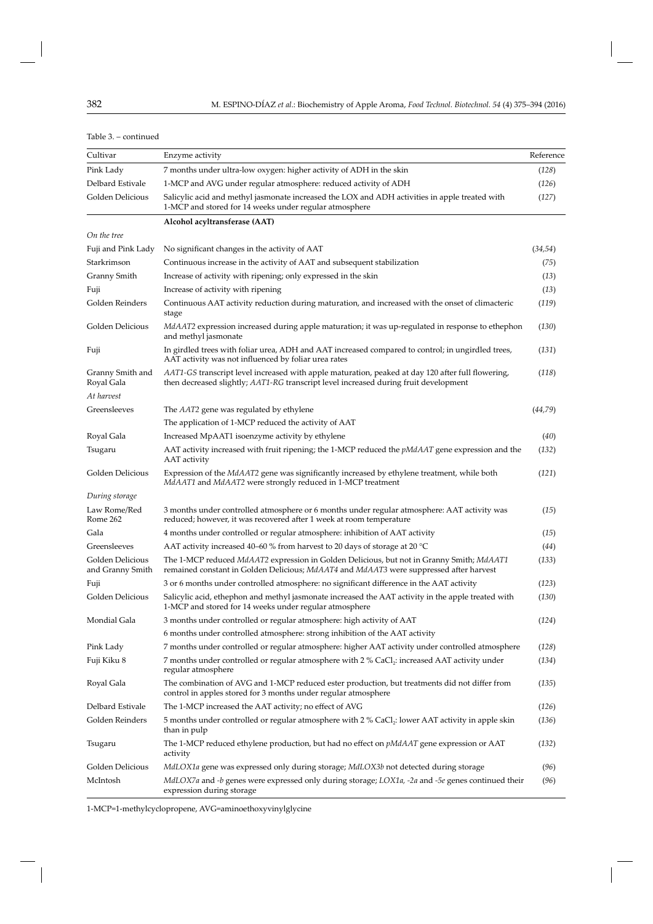| Cultivar                             | Enzyme activity                                                                                                                                                                           | Reference |
|--------------------------------------|-------------------------------------------------------------------------------------------------------------------------------------------------------------------------------------------|-----------|
| Pink Lady                            | 7 months under ultra-low oxygen: higher activity of ADH in the skin                                                                                                                       | (128)     |
| Delbard Estivale                     | 1-MCP and AVG under regular atmosphere: reduced activity of ADH                                                                                                                           | (126)     |
| Golden Delicious                     | Salicylic acid and methyl jasmonate increased the LOX and ADH activities in apple treated with<br>1-MCP and stored for 14 weeks under regular atmosphere                                  | (127)     |
|                                      | Alcohol acyltransferase (AAT)                                                                                                                                                             |           |
| On the tree                          |                                                                                                                                                                                           |           |
| Fuji and Pink Lady                   | No significant changes in the activity of AAT                                                                                                                                             | (34, 54)  |
| Starkrimson                          | Continuous increase in the activity of AAT and subsequent stabilization                                                                                                                   | (75)      |
| Granny Smith                         | Increase of activity with ripening; only expressed in the skin                                                                                                                            | (13)      |
| Fuji                                 | Increase of activity with ripening                                                                                                                                                        | (13)      |
| Golden Reinders                      | Continuous AAT activity reduction during maturation, and increased with the onset of climacteric<br>stage                                                                                 | (119)     |
| Golden Delicious                     | MdAAT2 expression increased during apple maturation; it was up-regulated in response to ethephon<br>and methyl jasmonate                                                                  | (130)     |
| Fuji                                 | In girdled trees with foliar urea, ADH and AAT increased compared to control; in ungirdled trees,<br>AAT activity was not influenced by foliar urea rates                                 | (131)     |
| Granny Smith and<br>Royal Gala       | AAT1-GS transcript level increased with apple maturation, peaked at day 120 after full flowering,<br>then decreased slightly; AAT1-RG transcript level increased during fruit development | (118)     |
| At harvest                           |                                                                                                                                                                                           |           |
| Greensleeves                         | The AAT2 gene was regulated by ethylene                                                                                                                                                   | (44,79)   |
|                                      | The application of 1-MCP reduced the activity of AAT                                                                                                                                      |           |
| Royal Gala                           | Increased MpAAT1 isoenzyme activity by ethylene                                                                                                                                           | (40)      |
| Tsugaru                              | AAT activity increased with fruit ripening; the 1-MCP reduced the <i>pMdAAT</i> gene expression and the<br>AAT activity                                                                   | (132)     |
| Golden Delicious                     | Expression of the MdAAT2 gene was significantly increased by ethylene treatment, while both<br>MdAAT1 and MdAAT2 were strongly reduced in 1-MCP treatment                                 | (121)     |
| During storage                       |                                                                                                                                                                                           |           |
| Law Rome/Red<br>Rome 262             | 3 months under controlled atmosphere or 6 months under regular atmosphere: AAT activity was<br>reduced; however, it was recovered after 1 week at room temperature                        | (15)      |
| Gala                                 | 4 months under controlled or regular atmosphere: inhibition of AAT activity                                                                                                               | (15)      |
| Greensleeves                         | AAT activity increased 40–60 % from harvest to 20 days of storage at 20 $^{\circ}$ C                                                                                                      | (44)      |
| Golden Delicious<br>and Granny Smith | The 1-MCP reduced MdAAT2 expression in Golden Delicious, but not in Granny Smith; MdAAT1<br>remained constant in Golden Delicious; MdAAT4 and MdAAT3 were suppressed after harvest        | (133)     |
| Fuji                                 | 3 or 6 months under controlled atmosphere: no significant difference in the AAT activity                                                                                                  | (123)     |
| Golden Delicious                     | Salicylic acid, ethephon and methyl jasmonate increased the AAT activity in the apple treated with<br>1-MCP and stored for 14 weeks under regular atmosphere                              | (130)     |
| Mondial Gala                         | 3 months under controlled or regular atmosphere: high activity of AAT                                                                                                                     | (124)     |
|                                      | 6 months under controlled atmosphere: strong inhibition of the AAT activity                                                                                                               |           |
| Pink Lady                            | 7 months under controlled or regular atmosphere: higher AAT activity under controlled atmosphere                                                                                          | (128)     |
| Fuji Kiku 8                          | 7 months under controlled or regular atmosphere with 2 % CaCl <sub>2</sub> : increased AAT activity under<br>regular atmosphere                                                           | (134)     |
| Royal Gala                           | The combination of AVG and 1-MCP reduced ester production, but treatments did not differ from<br>control in apples stored for 3 months under regular atmosphere                           | (135)     |
| Delbard Estivale                     | The 1-MCP increased the AAT activity; no effect of AVG                                                                                                                                    | (126)     |
| Golden Reinders                      | 5 months under controlled or regular atmosphere with 2 % CaCl <sub>2</sub> : lower AAT activity in apple skin<br>than in pulp                                                             | (136)     |
| Tsugaru                              | The 1-MCP reduced ethylene production, but had no effect on <i>pMdAAT</i> gene expression or AAT<br>activity                                                                              | (132)     |
| Golden Delicious                     | MdLOX1a gene was expressed only during storage; MdLOX3b not detected during storage                                                                                                       | (96)      |
| McIntosh                             | MdLOX7a and -b genes were expressed only during storage; LOX1a, -2a and -5e genes continued their<br>expression during storage                                                            | (96)      |

### Table 3. – continued

1-MCP=1-methylcyclopropene, AVG=aminoethoxyvinylglycine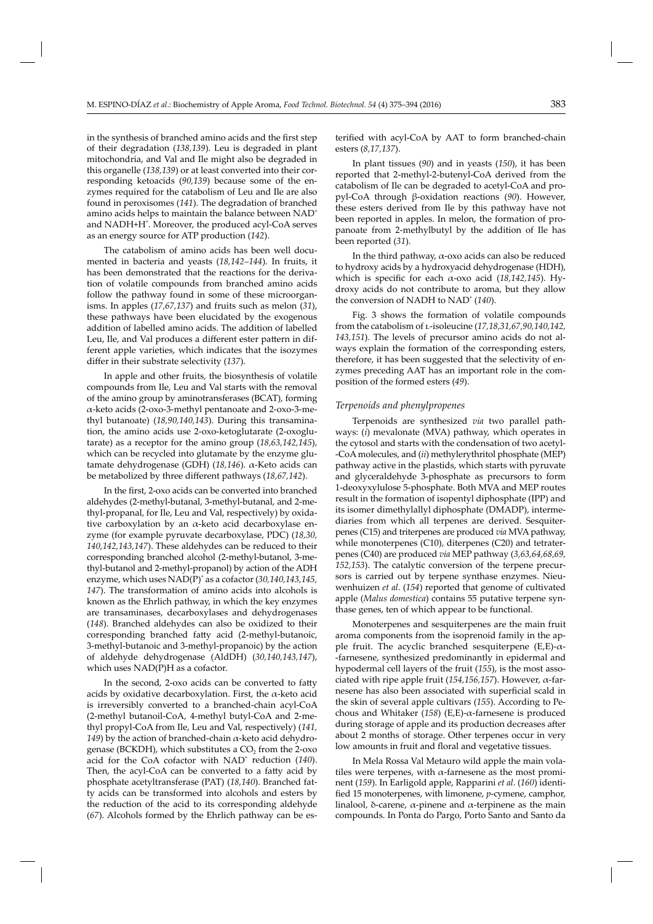in the synthesis of branched amino acids and the first step of their degradation (*138,139*). Leu is degraded in plant mitochondria, and Val and Ile might also be degraded in this organelle (*138,139*) or at least converted into their corresponding ketoacids (*90,139*) because some of the enzymes required for the catabolism of Leu and Ile are also found in peroxisomes (*141*). The degradation of branched amino acids helps to maintain the balance between NAD<sup>+</sup> and NADH+H<sup>+</sup>. Moreover, the produced acyl-CoA serves as an energy source for ATP production (*142*).

The catabolism of amino acids has been well documented in bacteria and yeasts (*18,142–144*). In fruits, it has been demonstrated that the reactions for the derivation of volatile compounds from branched amino acids follow the pathway found in some of these microorganisms. In apples (*17,67,137*) and fruits such as melon (*31*), these pathways have been elucidated by the exogenous addition of labelled amino acids. The addition of labelled Leu, Ile, and Val produces a different ester pattern in different apple varieties, which indicates that the isozymes differ in their substrate selectivity (137).

In apple and other fruits, the biosynthesis of volatile compounds from Ile, Leu and Val starts with the removal of the amino group by aminotransferases (BCAT), forming α-keto acids (2-oxo-3-methyl pentanoate and 2-oxo-3-methyl butanoate) (*18,90,140,143*). During this transamination, the amino acids use 2-oxo-ketoglutarate (2-oxoglutarate) as a receptor for the amino group (*18,63,142,145*), which can be recycled into glutamate by the enzyme glutamate dehydrogenase (GDH) (*18,146*). α-Keto acids can be metabolized by three different pathways (18,67,142).

In the first, 2-oxo acids can be converted into branched aldehydes (2-methyl-butanal, 3-methyl-butanal, and 2-methyl-propanal, for Ile, Leu and Val, respectively) by oxidative carboxylation by an  $\alpha$ -keto acid decarboxylase enzyme (for example pyruvate decarboxylase, PDC) (*18,30, 140,142,143,147*). These aldehydes can be reduced to their corresponding branched alcohol (2-methyl-butanol, 3-methyl-butanol and 2-methyl-propanol) by action of the ADH enzyme, which uses NAD(P)<sup>+</sup> as a cofactor (*30,140,143,145, 147*). The transformation of amino acids into alcohols is known as the Ehrlich pathway, in which the key enzymes are transaminases, decarboxylases and dehydrogenases (*148*). Branched aldehydes can also be oxidized to their corresponding branched fatty acid (2-methyl-butanoic, 3-methyl-butanoic and 3-methyl-propanoic) by the action of aldehyde dehydrogenase (AldDH) (*30,140,143,147*), which uses NAD(P)H as a cofactor.

In the second, 2-oxo acids can be converted to fatty acids by oxidative decarboxylation. First, the  $\alpha$ -keto acid is irreversibly converted to a branched-chain acyl-CoA (2-methyl butanoil-CoA, 4-methyl butyl-CoA and 2-methyl propyl-CoA from Ile, Leu and Val, respectively) (*141, 149*) by the action of branched-chain α-keto acid dehydrogenase (BCKDH), which substitutes a  $CO<sub>2</sub>$  from the 2-oxo acid for the CoA cofactor with NAD<sup>+</sup> reduction (140). Then, the acyl-CoA can be converted to a fatty acid by phosphate acetyltransferase (PAT) (*18,140*). Branched fatty acids can be transformed into alcohols and esters by the reduction of the acid to its corresponding aldehyde (*67*). Alcohols formed by the Ehrlich pathway can be es-

terified with acyl-CoA by AAT to form branched-chain esters (*8,17,137*).

In plant tissues (*90*) and in yeasts (*150*), it has been reported that 2-methyl-2-butenyl-CoA derived from the catabolism of Ile can be degraded to acetyl-CoA and propyl-CoA through β-oxidation reactions (*90*). However, these esters derived from Ile by this pathway have not been reported in apples. In melon, the formation of propanoate from 2-methylbutyl by the addition of Ile has been reported (*31*).

In the third pathway, α-oxo acids can also be reduced to hydroxy acids by a hydroxyacid dehydrogenase (HDH), which is specific for each  $\alpha$ -oxo acid (18,142,145). Hydroxy acids do not contribute to aroma, but they allow the conversion of NADH to NAD<sup>+</sup> (140).

Fig. 3 shows the formation of volatile compounds from the catabolism of l-isoleucine (*17,18,31,67,90,140,142, 143,151*). The levels of precursor amino acids do not always explain the formation of the corresponding esters, therefore, it has been suggested that the selectivity of enzymes preceding AAT has an important role in the composition of the formed esters (*49*).

### *Terpenoids and phenylpropenes*

Terpenoids are synthesized *via* two parallel pathways: (*i*) mevalonate (MVA) pathway, which operates in the cytosol and starts with the condensation of two acetyl- -CoA molecules, and (*ii*) methylerythritol phosphate (MEP) pathway active in the plastids, which starts with pyruvate and glyceraldehyde 3-phosphate as precursors to form 1-deoxyxylulose 5-phosphate. Both MVA and MEP routes result in the formation of isopentyl diphosphate (IPP) and its isomer dimethylallyl diphosphate (DMADP), intermediaries from which all terpenes are derived. Sesquiterpenes (C15) and triterpenes are produced *via* MVA pathway, while monoterpenes (C10), diterpenes (C20) and tetraterpenes (C40) are produced *via* MEP pathway (*3,63,64,68,69, 152,153*). The catalytic conversion of the terpene precursors is carried out by terpene synthase enzymes. Nieuwenhuizen *et al*. (*154*) reported that genome of cultivated apple (*Malus domestica*) contains 55 putative terpene synthase genes, ten of which appear to be functional.

Monoterpenes and sesquiterpenes are the main fruit aroma components from the isoprenoid family in the apple fruit. The acyclic branched sesquiterpene  $(E,E)$ - $\alpha$ --farnesene, synthesized predominantly in epidermal and hypodermal cell layers of the fruit (*155*), is the most associated with ripe apple fruit (*154,156,157*). However, α-farnesene has also been associated with superficial scald in the skin of several apple cultivars (*155*). According to Pechous and Whitaker (*158*) (E,E)-α-farnesene is produced during storage of apple and its production decreases after about 2 months of storage. Other terpenes occur in very low amounts in fruit and floral and vegetative tissues.

In Mela Rossa Val Metauro wild apple the main volatiles were terpenes, with  $\alpha$ -farnesene as the most prominent (159). In Earligold apple, Rapparini *et al.* (160) identified 15 monoterpenes, with limonene, *p*-cymene, camphor, linalool, δ-carene,  $\alpha$ -pinene and  $\alpha$ -terpinene as the main compounds. In Ponta do Pargo, Porto Santo and Santo da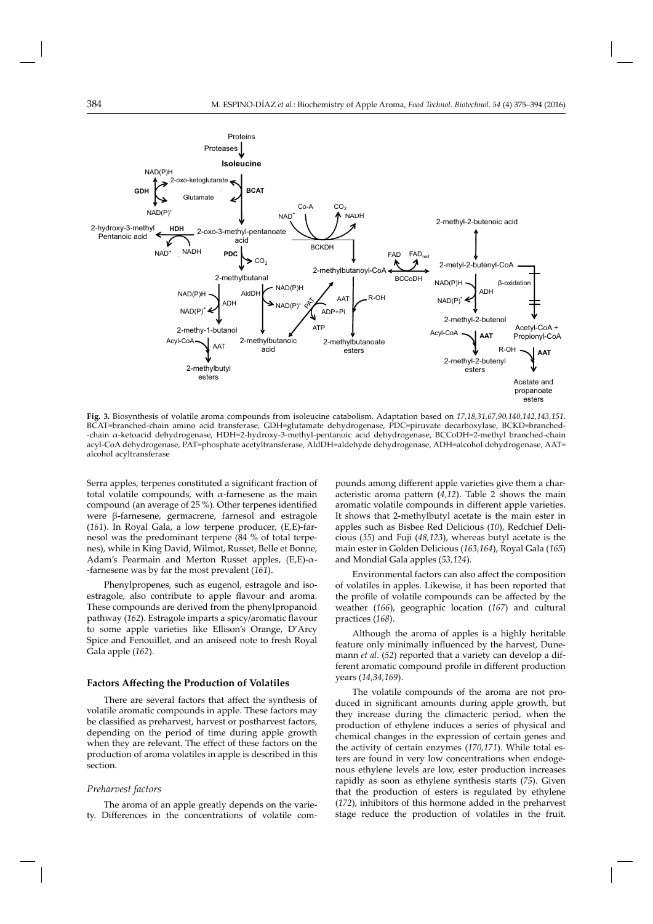

**Fig. 3.** Biosynthesis of volatile aroma compounds from isoleucine catabolism. Adaptation based on *17,18,31,67,90,140,142,143,151*. BCAT=branched-chain amino acid transferase, GDH=glutamate dehydrogenase, PDC=piruvate decarboxylase, BCKD=branched- -chain α-ketoacid dehydrogenase, HDH=2-hydroxy-3-methyl-pentanoic acid dehydrogenase, BCCoDH=2-methyl branched-chain acyl-CoA dehydrogenase, PAT=phosphate acetyltransferase, AldDH=aldehyde dehydrogenase, ADH=alcohol dehydrogenase, AAT= alcohol acyltransferase

Serra apples, terpenes constituted a significant fraction of total volatile compounds, with  $\alpha$ -farnesene as the main compound (an average of 25 %). Other terpenes identified were β-farnesene, germacrene, farnesol and estragole (*161*). In Royal Gala, a low terpene producer, (E,E)-farnesol was the predominant terpene (84 % of total terpenes), while in King David, Wilmot, Russet, Belle et Bonne, Adam's Pearmain and Merton Russet apples,  $(E,E)$ - $\alpha$ --farnesene was by far the most prevalent (*161*).

Phenylpropenes, such as eugenol, estragole and isoestragole, also contribute to apple flavour and aroma. These compounds are derived from the phenylpropanoid pathway (*162*). Estragole imparts a spicy/aromatic flavour to some apple varieties like Ellison's Orange, D'Arcy Spice and Fenouillet, and an aniseed note to fresh Royal Gala apple (*162*).

#### **Factors Aff ecting the Production of Volatiles**

There are several factors that affect the synthesis of volatile aromatic compounds in apple. These factors may be classified as preharvest, harvest or postharvest factors, depending on the period of time during apple growth when they are relevant. The effect of these factors on the production of aroma volatiles in apple is described in this section.

#### *Preharvest factors*

The aroma of an apple greatly depends on the variety. Differences in the concentrations of volatile compounds among different apple varieties give them a characteristic aroma pattern  $(4,12)$ . Table 2 shows the main aromatic volatile compounds in different apple varieties. It shows that 2-methylbutyl acetate is the main ester in apples such as Bisbee Red Delicious (*10*), Redchief Delicious (*35*) and Fuji (*48,123*), whereas butyl acetate is the main ester in Golden Delicious (*163,164*), Royal Gala (*165*) and Mondial Gala apples (*53,124*).

Environmental factors can also affect the composition of volatiles in apples. Likewise, it has been reported that the profile of volatile compounds can be affected by the weather (*166*), geographic location (*167*) and cultural practices (*168*).

Although the aroma of apples is a highly heritable feature only minimally influenced by the harvest, Dunemann *et al*. (*52*) reported that a variety can develop a different aromatic compound profile in different production years (*14,34,169*).

The volatile compounds of the aroma are not produced in significant amounts during apple growth, but they increase during the climacteric period, when the production of ethylene induces a series of physical and chemical changes in the expression of certain genes and the activity of certain enzymes (*170,171*). While total esters are found in very low concentrations when endogenous ethylene levels are low, ester production increases rapidly as soon as ethylene synthesis starts (*75*). Given that the production of esters is regulated by ethylene (*172*), inhibitors of this hormone added in the preharvest stage reduce the production of volatiles in the fruit.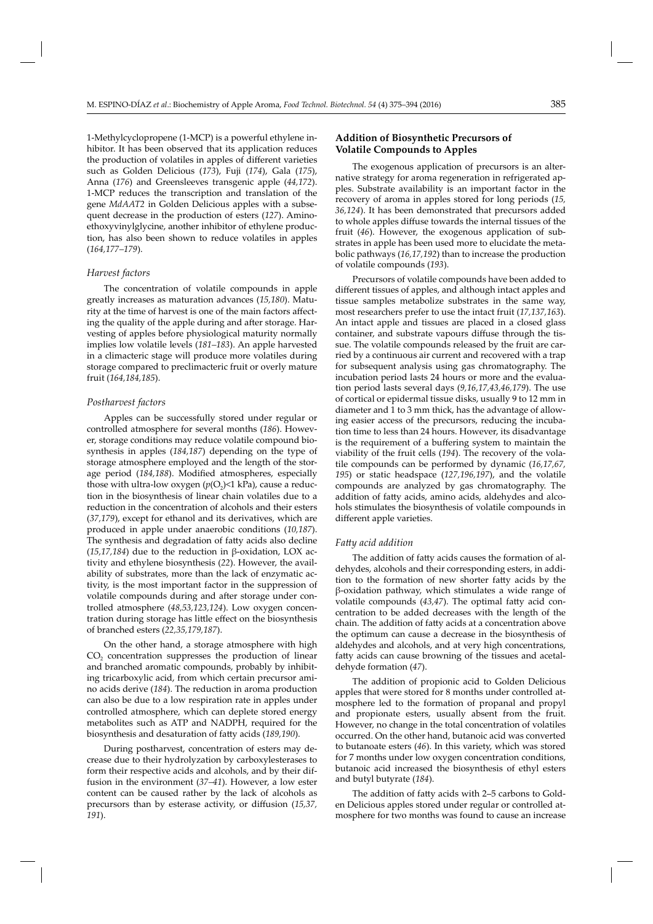1-Methylcyclopropene (1-MCP) is a powerful ethylene inhibitor. It has been observed that its application reduces the production of volatiles in apples of different varieties such as Golden Delicious (*173*), Fuji (*174*), Gala (*175*), Anna (*176*) and Greensleeves transgenic apple (*44,172*). 1-MCP reduces the transcription and translation of the gene *MdAAT2* in Golden Delicious apples with a subsequent decrease in the production of esters (*127*). Aminoethoxyvinylglycine, another inhibitor of ethylene production, has also been shown to reduce volatiles in apples (*164,177–179*).

#### *Harvest factors*

The concentration of volatile compounds in apple greatly increases as maturation advances (*15,180*). Maturity at the time of harvest is one of the main factors affecting the quality of the apple during and after storage. Harvesting of apples before physiological maturity normally implies low volatile levels (*181–183*). An apple harvested in a climacteric stage will produce more volatiles during storage compared to preclimacteric fruit or overly mature fruit (*164,184,185*).

#### *Postharvest factors*

Apples can be successfully stored under regular or controlled atmosphere for several months (*186*). However, storage conditions may reduce volatile compound biosynthesis in apples (*184,187*) depending on the type of storage atmosphere employed and the length of the storage period (184,188). Modified atmospheres, especially those with ultra-low oxygen  $(p(O_2) < 1$  kPa), cause a reduction in the biosynthesis of linear chain volatiles due to a reduction in the concentration of alcohols and their esters (*37,179*), except for ethanol and its derivatives, which are produced in apple under anaerobic conditions (*10,187*). The synthesis and degradation of fatty acids also decline (*15,17,184*) due to the reduction in β-oxidation, LOX activity and ethylene biosynthesis (*22*). However, the availability of substrates, more than the lack of enzymatic activity, is the most important factor in the suppression of volatile compounds during and after storage under controlled atmosphere (*48,53,123,124*). Low oxygen concentration during storage has little effect on the biosynthesis of branched esters (*22,35,179,187*).

On the other hand, a storage atmosphere with high  $CO<sub>2</sub>$  concentration suppresses the production of linear and branched aromatic compounds, probably by inhibiting tricarboxylic acid, from which certain precursor amino acids derive (*184*). The reduction in aroma production can also be due to a low respiration rate in apples under controlled atmosphere, which can deplete stored energy metabolites such as ATP and NADPH, required for the biosynthesis and desaturation of fatty acids (189,190).

During postharvest, concentration of esters may decrease due to their hydrolyzation by carboxylesterases to form their respective acids and alcohols, and by their diffusion in the environment (*37–41*). However, a low ester content can be caused rather by the lack of alcohols as precursors than by esterase activity, or diffusion (15,37, *191*).

# **Addition of Biosynthetic Precursors of Volatile Compounds to Apples**

The exogenous application of precursors is an alternative strategy for aroma regeneration in refrigerated apples. Substrate availability is an important factor in the recovery of aroma in apples stored for long periods (*15, 36,124*). It has been demonstrated that precursors added to whole apples diffuse towards the internal tissues of the fruit (*46*). However, the exogenous application of substrates in apple has been used more to elucidate the metabolic pathways (*16,17,192*) than to increase the production of volatile compounds (*193*).

Precursors of volatile compounds have been added to different tissues of apples, and although intact apples and tissue samples metabolize substrates in the same way, most researchers prefer to use the intact fruit (*17,137,163*). An intact apple and tissues are placed in a closed glass container, and substrate vapours diffuse through the tissue. The volatile compounds released by the fruit are carried by a continuous air current and recovered with a trap for subsequent analysis using gas chromatography. The incubation period lasts 24 hours or more and the evaluation period lasts several days (*9,16,17,43,46,179*). The use of cortical or epidermal tissue disks, usually 9 to 12 mm in diameter and 1 to 3 mm thick, has the advantage of allowing easier access of the precursors, reducing the incubation time to less than 24 hours. However, its disadvantage is the requirement of a buffering system to maintain the viability of the fruit cells (*194*). The recovery of the volatile compounds can be performed by dynamic (*16,17,67, 195*) or static headspace (*127,196,197*), and the volatile compounds are analyzed by gas chromatography. The addition of fatty acids, amino acids, aldehydes and alcohols stimulates the biosynthesis of volatile compounds in different apple varieties.

#### *Fatt y acid addition*

The addition of fatty acids causes the formation of aldehydes, alcohols and their corresponding esters, in addition to the formation of new shorter fatty acids by the β-oxidation pathway, which stimulates a wide range of volatile compounds (43,47). The optimal fatty acid concentration to be added decreases with the length of the chain. The addition of fatty acids at a concentration above the optimum can cause a decrease in the biosynthesis of aldehydes and alcohols, and at very high concentrations, fatty acids can cause browning of the tissues and acetaldehyde formation (*47*).

The addition of propionic acid to Golden Delicious apples that were stored for 8 months under controlled atmosphere led to the formation of propanal and propyl and propionate esters, usually absent from the fruit. However, no change in the total concentration of volatiles occurred. On the other hand, butanoic acid was converted to butanoate esters (*46*). In this variety, which was stored for 7 months under low oxygen concentration conditions, butanoic acid increased the biosynthesis of ethyl esters and butyl butyrate (*184*).

The addition of fatty acids with 2-5 carbons to Golden Delicious apples stored under regular or controlled atmosphere for two months was found to cause an increase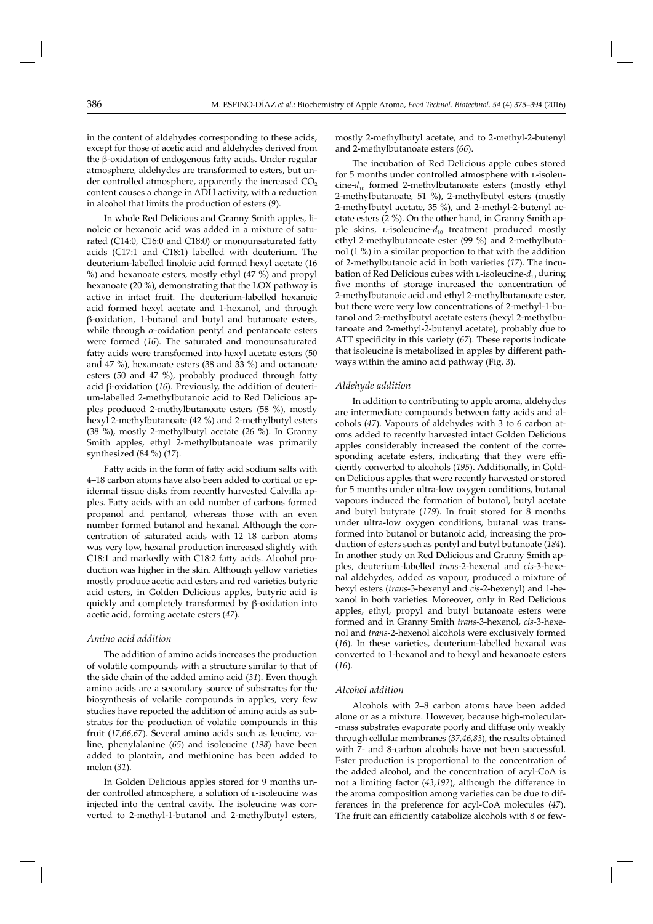in the content of aldehydes corresponding to these acids, except for those of acetic acid and aldehydes derived from the  $\beta$ -oxidation of endogenous fatty acids. Under regular atmosphere, aldehydes are transformed to esters, but under controlled atmosphere, apparently the increased  $CO<sub>2</sub>$ content causes a change in ADH activity, with a reduction in alcohol that limits the production of esters (*9*).

In whole Red Delicious and Granny Smith apples, linoleic or hexanoic acid was added in a mixture of saturated (C14:0, C16:0 and C18:0) or monounsaturated fatty acids (C17:1 and C18:1) labelled with deuterium. The deuterium-labelled linoleic acid formed hexyl acetate (16 %) and hexanoate esters, mostly ethyl (47 %) and propyl hexanoate (20 %), demonstrating that the LOX pathway is active in intact fruit. The deuterium-labelled hexanoic acid formed hexyl acetate and 1-hexanol, and through β-oxidation, 1-butanol and butyl and butanoate esters, while through  $\alpha$ -oxidation pentyl and pentanoate esters were formed (*16*). The saturated and monounsaturated fatty acids were transformed into hexyl acetate esters (50 and 47 %), hexanoate esters (38 and 33 %) and octanoate esters (50 and 47 %), probably produced through fatty acid β-oxidation (*16*). Previously, the addition of deuterium-labelled 2-methylbutanoic acid to Red Delicious apples produced 2-methylbutanoate esters (58 %), mostly hexyl 2-methylbutanoate (42 %) and 2-methylbutyl esters (38 %), mostly 2-methylbutyl acetate (26 %). In Granny Smith apples, ethyl 2-methylbutanoate was primarily synthesized (84 %) (*17*).

Fatty acids in the form of fatty acid sodium salts with 4–18 carbon atoms have also been added to cortical or epidermal tissue disks from recently harvested Calvilla apples. Fatty acids with an odd number of carbons formed propanol and pentanol, whereas those with an even number formed butanol and hexanal. Although the concentration of saturated acids with 12–18 carbon atoms was very low, hexanal production increased slightly with C18:1 and markedly with C18:2 fatty acids. Alcohol production was higher in the skin. Although yellow varieties mostly produce acetic acid esters and red varieties butyric acid esters, in Golden Delicious apples, butyric acid is quickly and completely transformed by β-oxidation into acetic acid, forming acetate esters (*47*).

## *Amino acid addition*

The addition of amino acids increases the production of volatile compounds with a structure similar to that of the side chain of the added amino acid (*31*). Even though amino acids are a secondary source of substrates for the biosynthesis of volatile compounds in apples, very few studies have reported the addition of amino acids as substrates for the production of volatile compounds in this fruit (*17,66*,*67*). Several amino acids such as leucine, valine, phenylalanine (*65*) and isoleucine (*198*) have been added to plantain, and methionine has been added to melon (*31*).

In Golden Delicious apples stored for 9 months under controlled atmosphere, a solution of L-isoleucine was injected into the central cavity. The isoleucine was converted to 2-methyl-1-butanol and 2-methylbutyl esters,

mostly 2-methylbutyl acetate, and to 2-methyl-2-butenyl and 2-methylbutanoate esters (*66*).

The incubation of Red Delicious apple cubes stored for 5 months under controlled atmosphere with L-isoleucine- $d_{10}$  formed 2-methylbutanoate esters (mostly ethyl 2-methylbutanoate, 51 %), 2-methylbutyl esters (mostly 2-methylbutyl acetate, 35 %), and 2-methyl-2-butenyl acetate esters (2 %). On the other hand, in Granny Smith apple skins, L-isoleucine- $d_{10}$  treatment produced mostly ethyl 2-methylbutanoate ester (99 %) and 2-methylbutanol (1 %) in a similar proportion to that with the addition of 2-methylbutanoic acid in both varieties (*17*). The incubation of Red Delicious cubes with L-isoleucine- $d_{10}$  during five months of storage increased the concentration of 2-methylbutanoic acid and ethyl 2-methylbutanoate ester, but there were very low concentrations of 2-methyl-1-butanol and 2-methylbutyl acetate esters (hexyl 2-methylbutanoate and 2-methyl-2-butenyl acetate), probably due to ATT specificity in this variety (67). These reports indicate that isoleucine is metabolized in apples by different pathways within the amino acid pathway (Fig. 3).

#### *Aldehyde addition*

In addition to contributing to apple aroma, aldehydes are intermediate compounds between fatty acids and alcohols (*47*). Vapours of aldehydes with 3 to 6 carbon atoms added to recently harvested intact Golden Delicious apples considerably increased the content of the corresponding acetate esters, indicating that they were efficiently converted to alcohols (*195*). Additionally, in Golden Delicious apples that were recently harvested or stored for 5 months under ultra-low oxygen conditions, butanal vapours induced the formation of butanol, butyl acetate and butyl butyrate (*179*). In fruit stored for 8 months under ultra-low oxygen conditions, butanal was transformed into butanol or butanoic acid, increasing the production of esters such as pentyl and butyl butanoate (*184*). In another study on Red Delicious and Granny Smith apples, deuterium-labelled *trans*-2-hexenal and *cis*-3-hexenal aldehydes, added as vapour, produced a mixture of hexyl esters (*trans*-3-hexenyl and *cis*-2-hexenyl) and 1-hexanol in both varieties. Moreover, only in Red Delicious apples, ethyl, propyl and butyl butanoate esters were formed and in Granny Smith *trans-*3-hexenol, *cis-*3-hexenol and *trans*-2-hexenol alcohols were exclusively formed (*16*). In these varieties, deuterium-labelled hexanal was converted to 1-hexanol and to hexyl and hexanoate esters (*16*).

#### *Alcohol addition*

Alcohols with 2–8 carbon atoms have been added alone or as a mixture. However, because high-molecular- -mass substrates evaporate poorly and diffuse only weakly through cellular membranes (*37,46,83*), the results obtained with 7- and 8-carbon alcohols have not been successful. Ester production is proportional to the concentration of the added alcohol, and the concentration of acyl-CoA is not a limiting factor (43,192), although the difference in the aroma composition among varieties can be due to differences in the preference for acyl-CoA molecules (*47*). The fruit can efficiently catabolize alcohols with 8 or few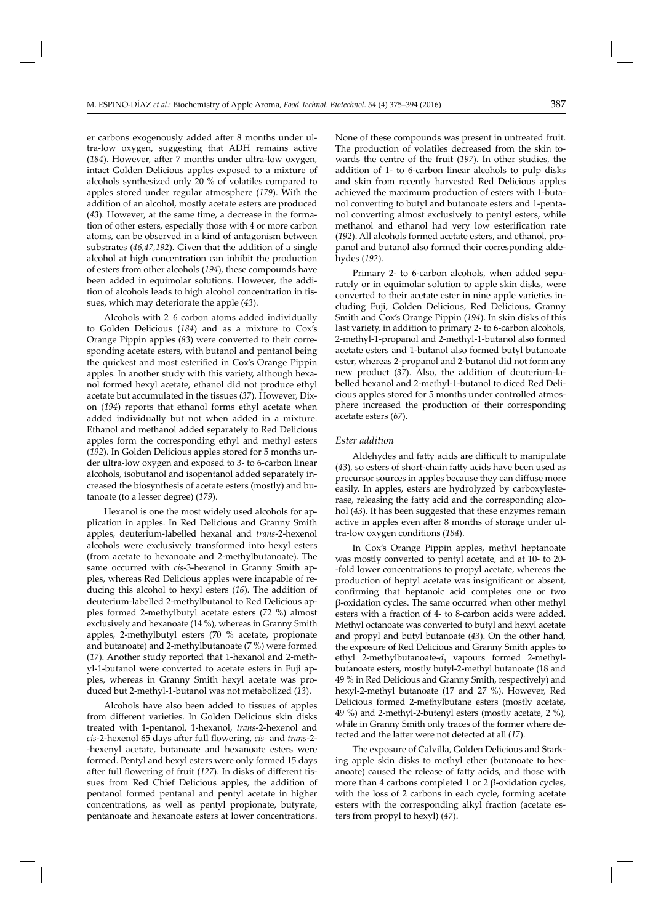er carbons exogenously added after 8 months under ultra-low oxygen, suggesting that ADH remains active (184). However, after 7 months under ultra-low oxygen, intact Golden Delicious apples exposed to a mixture of alcohols synthesized only 20 % of volatiles compared to apples stored under regular atmosphere (*179*). With the addition of an alcohol, mostly acetate esters are produced (*43*). However, at the same time, a decrease in the formation of other esters, especially those with 4 or more carbon atoms, can be observed in a kind of antagonism between substrates (*46,47,192*). Given that the addition of a single alcohol at high concentration can inhibit the production of esters from other alcohols (*194*), these compounds have been added in equimolar solutions. However, the addition of alcohols leads to high alcohol concentration in tissues, which may deteriorate the apple (*43*).

Alcohols with 2–6 carbon atoms added individually to Golden Delicious (*184*) and as a mixture to Cox's Orange Pippin apples (*83*) were converted to their corresponding acetate esters, with butanol and pentanol being the quickest and most esterified in Cox's Orange Pippin apples. In another study with this variety, although hexanol formed hexyl acetate, ethanol did not produce ethyl acetate but accumulated in the tissues (*37*). However, Dixon (*194*) reports that ethanol forms ethyl acetate when added individually but not when added in a mixture. Ethanol and methanol added separately to Red Delicious apples form the corresponding ethyl and methyl esters (*192*). In Golden Delicious apples stored for 5 months under ultra-low oxygen and exposed to 3- to 6-carbon linear alcohols, isobutanol and isopentanol added separately increased the biosynthesis of acetate esters (mostly) and butanoate (to a lesser degree) (*179*).

Hexanol is one the most widely used alcohols for application in apples. In Red Delicious and Granny Smith apples, deuterium-labelled hexanal and *trans*-2-hexenol alcohols were exclusively transformed into hexyl esters (from acetate to hexanoate and 2-methylbutanoate). The same occurred with *cis*-3-hexenol in Granny Smith apples, whereas Red Delicious apples were incapable of reducing this alcohol to hexyl esters (*16*). The addition of deuterium-labelled 2-methylbutanol to Red Delicious apples formed 2-methylbutyl acetate esters (72 %) almost exclusively and hexanoate (14 %), whereas in Granny Smith apples, 2-methylbutyl esters (70 % acetate, propionate and butanoate) and 2-methylbutanoate (7 %) were formed (*17*). Another study reported that 1-hexanol and 2-methyl-1-butanol were converted to acetate esters in Fuji apples, whereas in Granny Smith hexyl acetate was produced but 2-methyl-1-butanol was not metabolized (*13*).

Alcohols have also been added to tissues of apples from different varieties. In Golden Delicious skin disks treated with 1-pentanol, 1-hexanol, *trans*-2-hexenol and *cis-2-hexenol 65 days after full flowering, <i>cis-* and *trans-2-*-hexenyl acetate, butanoate and hexanoate esters were formed. Pentyl and hexyl esters were only formed 15 days after full flowering of fruit (127). In disks of different tissues from Red Chief Delicious apples, the addition of pentanol formed pentanal and pentyl acetate in higher concentrations, as well as pentyl propionate, butyrate, pentanoate and hexanoate esters at lower concentrations. None of these compounds was present in untreated fruit. The production of volatiles decreased from the skin towards the centre of the fruit (*197*). In other studies, the addition of 1- to 6-carbon linear alcohols to pulp disks and skin from recently harvested Red Delicious apples achieved the maximum production of esters with 1-butanol converting to butyl and butanoate esters and 1-pentanol converting almost exclusively to pentyl esters, while methanol and ethanol had very low esterification rate (*192*). All alcohols formed acetate esters, and ethanol, propanol and butanol also formed their corresponding aldehydes (*192*).

Primary 2- to 6-carbon alcohols, when added separately or in equimolar solution to apple skin disks, were converted to their acetate ester in nine apple varieties including Fuji, Golden Delicious, Red Delicious, Granny Smith and Cox's Orange Pippin (*194*). In skin disks of this last variety, in addition to primary 2- to 6-carbon alcohols, 2-methyl-1-propanol and 2-methyl-1-butanol also formed acetate esters and 1-butanol also formed butyl butanoate ester, whereas 2-propanol and 2-butanol did not form any new product (*37*). Also, the addition of deuterium-labelled hexanol and 2-methyl-1-butanol to diced Red Delicious apples stored for 5 months under controlled atmosphere increased the production of their corresponding acetate esters (*67*).

#### *Ester addition*

Aldehydes and fatty acids are difficult to manipulate (43), so esters of short-chain fatty acids have been used as precursor sources in apples because they can diffuse more easily. In apples, esters are hydrolyzed by carboxylesterase, releasing the fatty acid and the corresponding alcohol (*43*). It has been suggested that these enzymes remain active in apples even after 8 months of storage under ultra-low oxygen conditions (*184*).

In Cox's Orange Pippin apples, methyl heptanoate was mostly converted to pentyl acetate, and at 10- to 20- -fold lower concentrations to propyl acetate, whereas the production of heptyl acetate was insignificant or absent, confirming that heptanoic acid completes one or two β-oxidation cycles. The same occurred when other methyl esters with a fraction of 4- to 8-carbon acids were added. Methyl octanoate was converted to butyl and hexyl acetate and propyl and butyl butanoate (*43*). On the other hand, the exposure of Red Delicious and Granny Smith apples to ethyl 2-methylbutanoate-d<sub>3</sub> vapours formed 2-methylbutanoate esters, mostly butyl-2-methyl butanoate (18 and 49 % in Red Delicious and Granny Smith, respectively) and hexyl-2-methyl butanoate (17 and 27 %). However, Red Delicious formed 2-methylbutane esters (mostly acetate, 49 %) and 2-methyl-2-butenyl esters (mostly acetate, 2 %), while in Granny Smith only traces of the former where detected and the latter were not detected at all (17).

The exposure of Calvilla, Golden Delicious and Starking apple skin disks to methyl ether (butanoate to hexanoate) caused the release of fatty acids, and those with more than 4 carbons completed 1 or 2 β-oxidation cycles, with the loss of 2 carbons in each cycle, forming acetate esters with the corresponding alkyl fraction (acetate esters from propyl to hexyl) (*47*).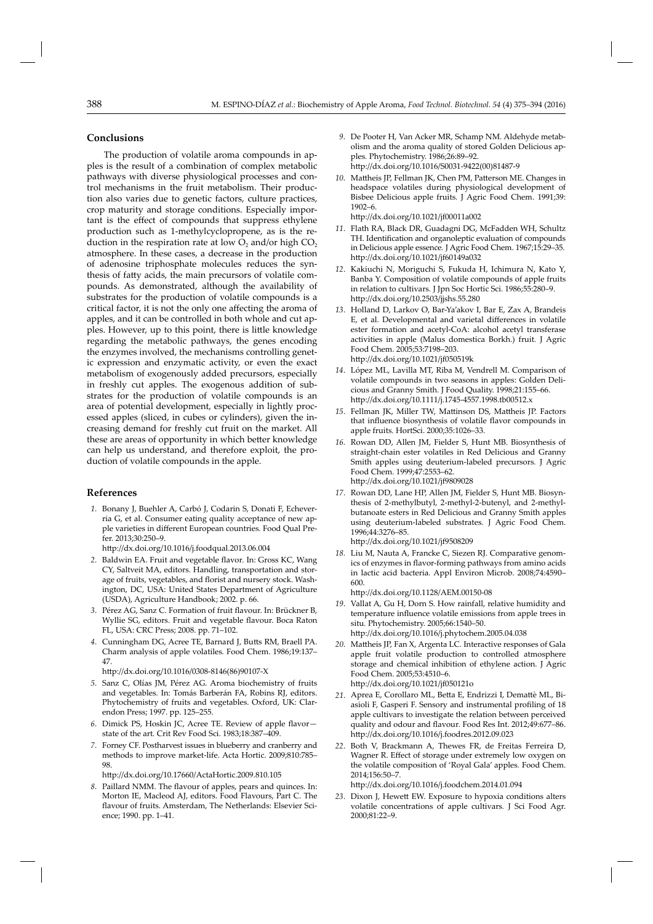# **Conclusions**

The production of volatile aroma compounds in apples is the result of a combination of complex metabolic pathways with diverse physiological processes and control mechanisms in the fruit metabolism. Their production also varies due to genetic factors, culture practices, crop maturity and storage conditions. Especially important is the effect of compounds that suppress ethylene production such as 1-methylcyclopropene, as is the reduction in the respiration rate at low  $O_2$  and/or high  $CO_2$ atmosphere. In these cases, a decrease in the production of adenosine triphosphate molecules reduces the synthesis of fatty acids, the main precursors of volatile compounds. As demonstrated, although the availability of substrates for the production of volatile compounds is a critical factor, it is not the only one affecting the aroma of apples, and it can be controlled in both whole and cut apples. However, up to this point, there is little knowledge regarding the metabolic pathways, the genes encoding the enzymes involved, the mechanisms controlling genetic expression and enzymatic activity, or even the exact metabolism of exogenously added precursors, especially in freshly cut apples. The exogenous addition of substrates for the production of volatile compounds is an area of potential development, especially in lightly processed apples (sliced, in cubes or cylinders), given the increasing demand for freshly cut fruit on the market. All these are areas of opportunity in which better knowledge can help us understand, and therefore exploit, the production of volatile compounds in the apple.

#### **References**

 *1*. Bonany J, Buehler A, Carbó J, Codarin S, Donati F, Echeverria G, et al. Consumer eating quality acceptance of new apple varieties in diff erent European countries*.* Food Qual Prefer. 2013;30:250–9.

http://dx.doi.org/10.1016/j.foodqual.2013.06.004

- 2. Baldwin EA. Fruit and vegetable flavor. In: Gross KC, Wang CY, Saltveit MA, editors. Handling, transportation and storage of fruits, vegetables, and florist and nursery stock. Washington, DC, USA: United States Department of Agriculture (USDA), Agriculture Handbook; 2002. p. 66.
- 3. Pérez AG, Sanz C. Formation of fruit flavour. In: Brückner B, Wyllie SG, editors. Fruit and vegetable flavour. Boca Raton FL, USA: CRC Press; 2008. pp. 71–102.
- 4. Cunningham DG, Acree TE, Barnard J, Butts RM, Braell PA. Charm analysis of apple volatiles*.* Food Chem. 1986;19:137– 47.

http://dx.doi.org/10.1016/0308-8146(86)90107-X

- *5*. Sanz C, Olías JM, Pérez AG. Aroma biochemistry of fruits and vegetables. In: Tomás Barberán FA, Robins RJ, editors. Phytochemistry of fruits and vegetables. Oxford, UK: Clarendon Press; 1997. pp. 125–255.
- 6. Dimick PS, Hoskin JC, Acree TE. Review of apple flavorstate of the art*.* Crit Rev Food Sci. 1983;18:387–409.
- 7. Forney CF. Postharvest issues in blueberry and cranberry and methods to improve market-life. Acta Hortic. 2009;810:785– 98.

http://dx.doi.org/10.17660/ActaHortic.2009.810.105

8. Paillard NMM. The flavour of apples, pears and quinces. In: Morton IE, Macleod AJ, editors. Food Flavours, Part C. The flavour of fruits. Amsterdam, The Netherlands: Elsevier Science; 1990. pp. 1–41.

- 9. De Pooter H, Van Acker MR, Schamp NM. Aldehyde metabolism and the aroma quality of stored Golden Delicious apples*.* Phytochemistry. 1986;26:89–92. http://dx.doi.org/10.1016/S0031-9422(00)81487-9
- 10. Mattheis JP, Fellman JK, Chen PM, Patterson ME. Changes in headspace volatiles during physiological development of Bisbee Delicious apple fruits*.* J Agric Food Chem. 1991;39: 1902–6. http://dx.doi.org/10.1021/jf00011a002
- *11*. Flath RA, Black DR, Guadagni DG, McFadden WH, Schultz TH. Identification and organoleptic evaluation of compounds in Delicious apple essence*.* J Agric Food Chem. 1967;15:29–35. http://dx.doi.org/10.1021/jf60149a032
- 12. Kakiuchi N, Moriguchi S, Fukuda H, Ichimura N, Kato Y, Banba Y. Composition of volatile compounds of apple fruits in relation to cultivars*.* J Jpn Soc Hortic Sci. 1986;55:280–9. http://dx.doi.org/10.2503/jjshs.55.280
- *13*. Holland D, Larkov O, Bar-Ya'akov I, Bar E, Zax A, Brandeis E, et al. Developmental and varietal differences in volatile ester formation and acetyl-CoA: alcohol acetyl transferase activities in apple (Malus domestica Borkh.) fruit*.* J Agric Food Chem. 2005;53:7198–203. http://dx.doi.org/10.1021/jf050519k
- 14. López ML, Lavilla MT, Riba M, Vendrell M. Comparison of volatile compounds in two seasons in apples: Golden Delicious and Granny Smith*.* J Food Quality. 1998;21:155–66. http://dx.doi.org/10.1111/j.1745-4557.1998.tb00512.x
- 15. Fellman JK, Miller TW, Mattinson DS, Mattheis JP. Factors that influence biosynthesis of volatile flavor compounds in apple fruits*.* HortSci. 2000;35:1026–33.
- 16. Rowan DD, Allen JM, Fielder S, Hunt MB. Biosynthesis of straight-chain ester volatiles in Red Delicious and Granny Smith apples using deuterium-labeled precursors*.* J Agric Food Chem. 1999;47:2553–62. http://dx.doi.org/10.1021/jf9809028
- 17. Rowan DD, Lane HP, Allen JM, Fielder S, Hunt MB. Biosynthesis of 2-methylbutyl, 2-methyl-2-butenyl, and 2-methylbutanoate esters in Red Delicious and Granny Smith apples using deuterium-labeled substrates*.* J Agric Food Chem. 1996;44:3276–85. http://dx.doi.org/10.1021/jf9508209
- 18. Liu M, Nauta A, Francke C, Siezen RJ. Comparative genomics of enzymes in flavor-forming pathways from amino acids in lactic acid bacteria*.* Appl Environ Microb. 2008;74:4590– 600.

http://dx.doi.org/10.1128/AEM.00150-08

- 19. Vallat A, Gu H, Dorn S. How rainfall, relative humidity and temperature influence volatile emissions from apple trees in situ*.* Phytochemistry. 2005;66:1540–50. http://dx.doi.org/10.1016/j.phytochem.2005.04.038
- 20. Mattheis JP, Fan X, Argenta LC. Interactive responses of Gala apple fruit volatile production to controlled atmosphere storage and chemical inhibition of ethylene action*.* J Agric Food Chem. 2005;53:4510–6. htt p://dx.doi.org/10.1021/jf050121o
- 21. Aprea E, Corollaro ML, Betta E, Endrizzi I, Demattè ML, Biasioli F, Gasperi F. Sensory and instrumental profiling of 18 apple cultivars to investigate the relation between perceived quality and odour and flavour. Food Res Int. 2012;49:677-86. http://dx.doi.org/10.1016/j.foodres.2012.09.023
- *22*. Both V, Br ackmann A, Thewes FR, de Freitas Ferreira D, Wagner R. Effect of storage under extremely low oxygen on the volatile composition of 'Royal Gala' apples*.* Food Chem. 2014;156:50–7.

http://dx.doi.org/10.1016/j.foodchem.2014.01.094

23. Dixon J, Hewett EW. Exposure to hypoxia conditions alters volatile concentrations of apple cultivars*.* J Sci Food Agr. 2000;81:22–9.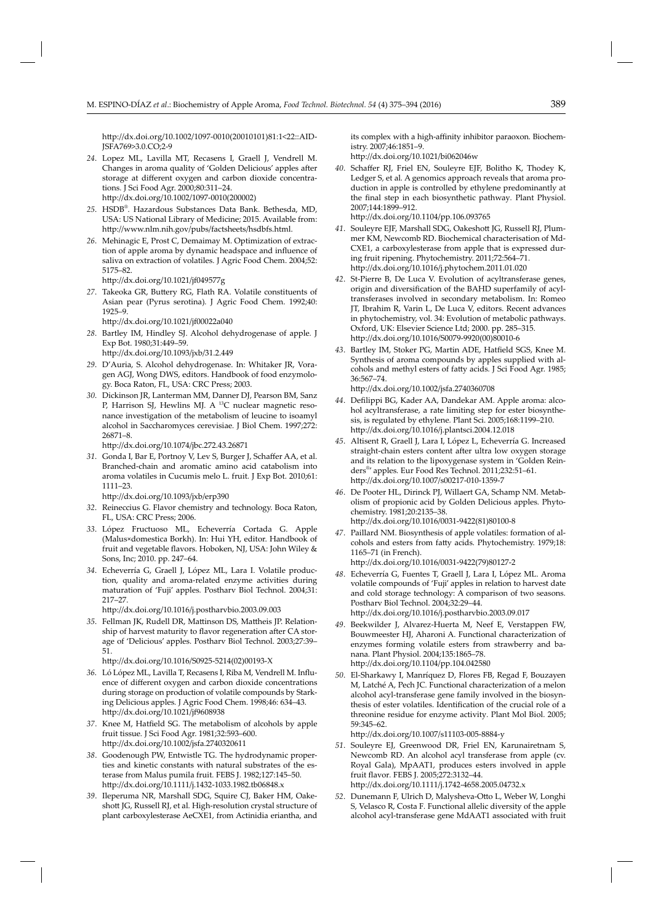http://dx.doi.org/10.1002/1097-0010(20010101)81:1<22::AID-JSFA769>3.0.CO;2-9

*24*. Lopez ML, Lavilla MT, Recasens I, Graell J, Vendrell M. Changes in aroma quality of 'Golden Delicious' apples after storage at different oxygen and carbon dioxide concentrations*.* J Sci Food Agr. 2000;80:311–24. http://dx.doi.org/10.1002/1097-0010(200002)

- *25*. HSDB® . Haz ardous Substances Data Bank. Bethesda, MD, USA: US National Library of Medicine; 2015. Available from: http://www.nlm.nih.gov/pubs/factsheets/hsdbfs.html.
- 26. Mehinagic E, Prost C, Demaimay M. Optimization of extraction of apple aroma by dynamic headspace and influence of saliva on extraction of volatiles*.* J Agric Food Chem. 2004;52: 5175–82.
	- http://dx.doi.org/10.1021/jf049577g
- 27. Takeoka GR, Buttery RG, Flath RA. Volatile constituents of Asian pear (Pyrus serotina)*.* J Agric Food Chem. 1992;40: 1925–9.

http://dx.doi.org/10.1021/jf00022a040

- *28*. Bartley IM, Hindley SJ. Alcohol dehydrogenase of apple*.* J Exp Bot. 1980;31:449–59. http://dx.doi.org/10.1093/jxb/31.2.449
- *29*. D'Auria, S. Alcohol dehydrogenase. In: Whitaker JR, Voragen AGJ, Wong DWS, editors. Handbook of food enzymology. Boca Raton, FL, USA: CRC Press; 2003.
- 30. Dickinson JR, Lanterman MM, Danner DJ, Pearson BM, Sanz P, Harrison SJ, Hewlins MJ. A <sup>13</sup>C nuclear magnetic resonance investigation of the metabolism of leucine to isoamyl alcohol in Saccharomyces cerevisiae*.* J Biol Chem. 1997;272: 26871–8.

http://dx.doi.org/10.1074/jbc.272.43.26871

31. Gonda I, Bar E, Portnoy V, Lev S, Burger J, Schaffer AA, et al. Branched-chain and aromatic amino acid catabolism into aroma volatiles in Cucumis melo L. fruit*.* J Exp Bot. 2010;61: 1111–23.

http://dx.doi.org/10.1093/jxb/erp390

- *32*. Reineccius G. Flavor chemistry and technology. Boca Raton, FL, USA: CRC Press; 2006.
- *33*. López Fructuoso ML, Echeverría Cortada G. Apple (Malus×domestica Borkh). In: Hui YH, editor. Handbook of fruit and vegetable flavors. Hoboken, NJ, USA: John Wiley & Sons, Inc; 2010. pp. 247–64.
- *34*. Echeverría G, Graell J, López ML, Lara I. Volatile production, quality and aroma-related enzyme activities during maturation of 'Fuji' apples*.* Postharv Biol Technol. 2004;31: 217–27.

http://dx.doi.org/10.1016/j.postharvbio.2003.09.003

35. Fellman JK, Rudell DR, Mattinson DS, Mattheis JP. Relationship of harvest maturity to flavor regeneration after CA storage of 'Delicious' apples*.* Postharv Biol Technol. 2003;27:39– 51.

http://dx.doi.org/10.1016/S0925-5214(02)00193-X

- 36. Ló López ML, Lavilla T, Recasens I, Riba M, Vendrell M. Influence of different oxygen and carbon dioxide concentrations during storage on production of volatile compounds by Starking Delicious apples*.* J Agric Food Chem. 1998;46: 634–43. http://dx.doi.org/10.1021/jf9608938
- 37. Knee M, Hatfield SG. The metabolism of alcohols by apple fruit tissue*.* J Sci Food Agr. 1981;32:593–600. http://dx.doi.org/10.1002/jsfa.2740320611
- *38*. Goodenough PW, Entwistle TG. The hydrodynamic properties and kinetic constants with natural substrates of the esterase from Malus pumila fruit*.* FEBS J. 1982;127:145–50. http://dx.doi.org/10.1111/j.1432-1033.1982.tb06848.x
- *39*. Ileperuma NR, Marshall SDG, Squire CJ, Baker HM, Oakeshott JG, Russell RJ, et al*.* High-resolution crystal structure of plant carboxylesterase AeCXE1, from Actinidia eriantha, and

its complex with a high-affinity inhibitor paraoxon. Biochemistry. 2007;46:1851–9.

http://dx.doi.org/10.1021/bi062046w

40. Schaffer RJ, Friel EN, Souleyre EJF, Bolitho K, Thodey K, Ledger S, et al*.* A genomics approach reveals that aroma production in apple is controlled by ethylene predominantly at the final step in each biosynthetic pathway. Plant Physiol. 2007;144:1899–912. http://dx.doi.org/10.1104/pp.106.093765

*41*. Souleyre EJF, Marshall SDG, Oakeshott JG, Russell RJ, Plummer KM, Newcomb RD. Biochemical characterisation of Md-CXE1, a carboxylesterase from apple that is expressed dur-

ing fruit ripening*.* Phytochemistry. 2011;72:564–71. http://dx.doi.org/10.1016/j.phytochem.2011.01.020

- 42. St-Pierre B, De Luca V. Evolution of acyltransferase genes, origin and diversification of the BAHD superfamily of acyltransferases involved in secondary metabolism. In: Romeo JT, Ibrahim R, Varin L, De Luca V, editors. Recent advances in phytochemistry, vol. 34: Evolution of metabolic pathways. Oxford, UK: Elsevier Science Ltd; 2000. pp. 285–315. htt p://dx.doi.org/10.1016/S0079-9920(00)80010-6
- 43. Bartley IM, Stoker PG, Martin ADE, Hatfield SGS, Knee M. Synthesis of aroma compounds by apples supplied with alcohols and methyl esters of fatty acids. J Sci Food Agr. 1985; 36:567–74.

http://dx.doi.org/10.1002/jsfa.2740360708

- 44. Defilippi BG, Kader AA, Dandekar AM. Apple aroma: alcohol acyltransferase, a rate limiting step for ester biosynthesis, is regulated by ethylene*.* Plant Sci. 2005;168:1199–210. http://dx.doi.org/10.1016/j.plantsci.2004.12.018
- *45*. Altisent R, Graell J, Lara I, López L, Echeverría G. Increased straight-chain esters content after ultra low oxygen storage and its relation to the lipoxygenase system in 'Golden Reinders® ' apples*.* Eur Food Res Technol. 2011;232:51–61. http://dx.doi.org/10.1007/s00217-010-1359-7
- 46. De Pooter HL, Dirinck PJ, Willaert GA, Schamp NM. Metabolism of propionic acid by Golden Delicious apples*.* Phytochemistry. 1981;20:2135–38. http://dx.doi.org/10.1016/0031-9422(81)80100-8
- 47. Paillard NM. Biosynthesis of apple volatiles: formation of alcohols and esters from fatty acids. Phytochemistry. 1979;18: 1165–71 (in French). http://dx.doi.org/10.1016/0031-9422(79)80127-2
- *48*. Echeverría G, Fuentes T, Graell J, Lara I, López ML. Aroma volatile compounds of 'Fuji' apples in relation to harvest date and cold storage technology: A comparison of two seasons*.* Postharv Biol Technol. 2004;32:29–44. http://dx.doi.org/10.1016/j.postharvbio.2003.09.017
- 49. Beekwilder J, Alvarez-Huerta M, Neef E, Verstappen FW, Bouwmeester HJ, Aharoni A. Functional characterization of enzymes forming volatile esters from strawberry and banana*.* Plant Physiol. 2004;135:1865–78. http://dx.doi.org/10.1104/pp.104.042580
- *50*. El-Sharkawy I, Manríquez D, Flores FB, Regad F, Bouzayen M, Latché A, Pech JC*.* Functional characterization of a melon alcohol acyl-transferase gene family involved in the biosynthesis of ester volatiles. Identification of the crucial role of a threonine residue for enzyme activity*.* Plant Mol Biol. 2005; 59:345–62.

http://dx.doi.org/10.1007/s11103-005-8884-y

*51*. Souleyre EJ, Greenwood DR, Friel EN, Karunairetnam S, Newcomb RD. An alcohol acyl transferase from apple (cv. Royal Gala), MpAAT1, produces esters involved in apple fruit fl avor*.* FEBS J. 2005;272:3132–44.

http://dx.doi.org/10.1111/j.1742-4658.2005.04732.x

52. Dunemann F, Ulrich D, Malysheva-Otto L, Weber W, Longhi S, Velasco R, Costa F*.* Functional allelic diversity of the apple alcohol acyl-transferase gene MdAAT1 associated with fruit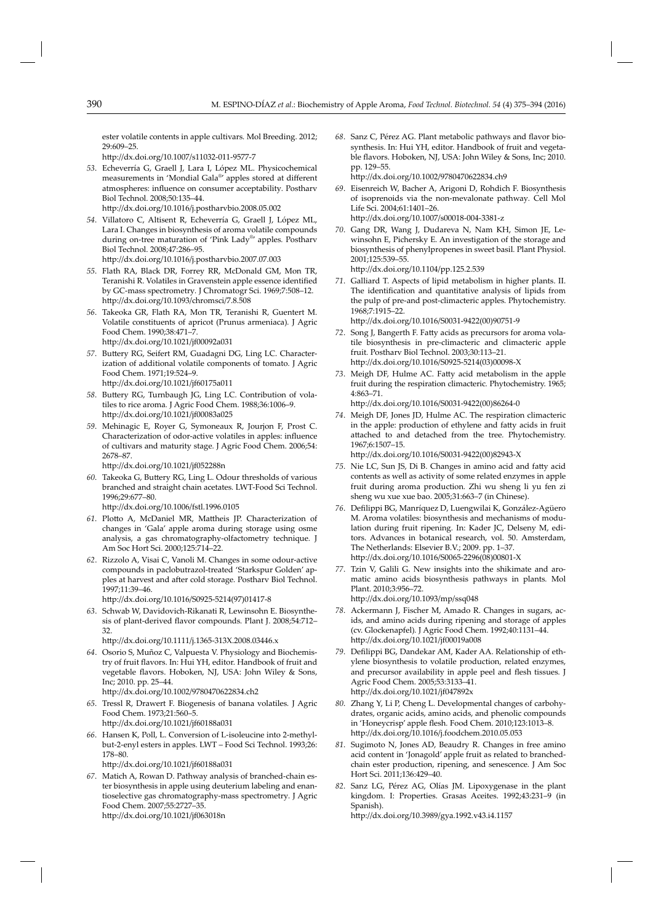ester volatile contents in apple cultivars*.* Mol Breeding. 2012; 29:609–25.

http://dx.doi.org/10.1007/s11032-011-9577-7

- 53. Echeverría G, Graell J, Lara I, López ML. Physicochemical measurements in 'Mondial Gala®' apples stored at different atmospheres: influence on consumer acceptability. Postharv Biol Technol. 2008;50:135–44. http://dx.doi.org/10.1016/j.postharvbio.2008.05.002
- *54*. Villatoro C, Altisent R, Echeverría G, Graell J, López ML, Lara I. Changes in biosynthesis of aroma volatile compounds during on-tree maturation of 'Pink Lady® ' apples*.* Postharv Biol Technol. 2008;47:286–95. http://dx.doi.org/10.1016/j.postharvbio.2007.07.003
- *55*. Flath RA, Black DR, Forrey RR, McDonald GM, Mon TR, Teranishi R. Volatiles in Gravenstein apple essence identified by GC-mass spectrometry*.* J Chromatogr Sci. 1969;7:508–12. http://dx.doi.org/10.1093/chromsci/7.8.508
- *56*. Takeoka GR, Flath RA, Mon TR, Teranishi R, Guentert M. Volatile constituents of apricot (Prunus armeniaca)*.* J Agric Food Chem. 1990;38:471–7. http://dx.doi.org/10.1021/jf00092a031
- 57. Buttery RG, Seifert RM, Guadagni DG, Ling LC. Characterization of additional volatile components of tomato. J Agric Food Chem. 1971;19:524–9. http://dx.doi.org/10.1021/jf60175a011
- 58. Buttery RG, Turnbaugh JG, Ling LC. Contribution of volatiles to rice aroma. J Agric Food Chem. 1988;36:1006-9. http://dx.doi.org/10.1021/jf00083a025
- *59*. Mehinagic E, Royer G, Symoneaux R, Jourjon F, Prost C. Characterization of odor-active volatiles in apples: influence of cultivars and maturity stage*.* J Agric Food Chem. 2006;54: 2678–87.

http://dx.doi.org/10.1021/jf052288n

60. Takeoka G, Buttery RG, Ling L. Odour thresholds of various branched and straight chain acetates. LWT-Food Sci Technol. 1996;29:677–80.

http://dx.doi.org/10.1006/fstl.1996.0105

- 61. Plotto A, McDaniel MR, Mattheis JP. Characterization of changes in 'Gala' apple aroma during storage using osme analysis, a gas chromatography-olfactometry technique*.* J Am Soc Hort Sci. 2000;125:714–22.
- *62*. Rizzolo A, Visai C, Vanoli M. Changes in some odour-active compounds in paclobutrazol-treated 'Starkspur Golden' apples at harvest and after cold storage. Postharv Biol Technol. 1997;11:39–46.

http://dx.doi.org/10.1016/S0925-5214(97)01417-8

*63*. Schwab W, Davidovich-Rikanati R, Lewinsohn E. Biosynthesis of plant-derived flavor compounds. Plant J. 2008;54:712-32.

htt p://dx.doi.org/10.1111/j.1365-313X.2008.03446.x

- *64*. Osorio S, Muñoz C, Valpuesta V. Physiology and Biochemistry of fruit flavors. In: Hui YH, editor. Handbook of fruit and vegetable flavors. Hoboken, NJ, USA: John Wiley & Sons, Inc; 2010. pp. 25–44. http://dx.doi.org/10.1002/9780470622834.ch2
- *65*. Tressl R, Drawert F. Biogenesis of banana volatiles*.* J Agric Food Chem. 1973;21:560–5. http://dx.doi.org/10.1021/jf60188a031
- *66*. Hansen K, Poll, L. Conversion of L-isoleucine into 2-methylbut-2-enyl esters in apples. LWT - Food Sci Technol. 1993;26: 178–80.

http://dx.doi.org/10.1021/jf60188a031

*67*. Matich A, Rowan D. Pathway analysis of branched-chain ester biosynthesis in apple using deuterium labeling and enantioselective gas chromatography-mass spectrometry*.* J Agric Food Chem. 2007;55:2727–35. http://dx.doi.org/10.1021/jf063018n

68. Sanz C, Pérez AG. Plant metabolic pathways and flavor biosynthesis. In: Hui YH, editor. Handbook of fruit and vegetable flavors. Hoboken, NJ, USA: John Wiley & Sons, Inc; 2010. pp. 129–55. http://dx.doi.org/10.1002/9780470622834.ch9

- *69*. Eisenreich W, Bacher A, Arigoni D, Rohdich F. Biosynthesis of isoprenoids via the non-mevalonate pathway*.* Cell Mol Life Sci. 2004;61:1401–26. http://dx.doi.org/10.1007/s00018-004-3381-z
- *70*. Gang DR, Wang J, Dudareva N, Nam KH, Simon JE, Lewinsohn E, Pichersky E*.* An investigation of the storage and biosynthesis of phenylpropenes in sweet basil*.* Plant Physiol. 2001;125:539–55. http://dx.doi.org/10.1104/pp.125.2.539
- *71*. Galliard T. Aspects of lipid metabolism in higher plants. II. The identification and quantitative analysis of lipids from the pulp of pre-and post-climacteric apples*.* Phytochemistry. 1968;7:1915–22.

http://dx.doi.org/10.1016/S0031-9422(00)90751-9

- 72. Song J, Bangerth F. Fatty acids as precursors for aroma volatile biosynthesis in pre-climacteric and climacteric apple fruit*.* Postharv Biol Technol. 2003;30:113–21. http://dx.doi.org/10.1016/S0925-5214(03)00098-X
- 73. Meigh DF, Hulme AC. Fatty acid metabolism in the apple fruit during the respiration climacteric. Phytochemistry. 1965; 4:863–71.

http://dx.doi.org/10.1016/S0031-9422(00)86264-0

- *74*. Meigh DF, Jones JD, Hulme AC. The respiration climacteric in the apple: production of ethylene and fatty acids in fruit attached to and detached from the tree. Phytochemistry. 1967;6:1507–15. http://dx.doi.org/10.1016/S0031-9422(00)82943-X
- 75. Nie LC, Sun JS, Di B. Changes in amino acid and fatty acid contents as well as activity of some related enzymes in apple fruit during aroma production*.* Zhi wu sheng li yu fen zi sheng wu xue xue bao. 2005;31:663–7 (in Chinese).
- 76. Defilippi BG, Manríquez D, Luengwilai K, González-Agüero M. Aroma volatiles: biosynthesis and mechanisms of modulation during fruit ripening*.* In: Kader JC, Delseny M, editors. Advances in botanical research, vol. 50. Amsterdam, The Netherlands: Elsevier B.V.; 2009. pp. 1–37. http://dx.doi.org/10.1016/S0065-2296(08)00801-X
- *77*. Tzin V, Galili G. New insights into the shikimate and aromatic amino acids biosynthesis pathways in plants*.* Mol Plant. 2010;3:956–72. http://dx.doi.org/10.1093/mp/ssq048
- *78*. Ackermann J, Fischer M, Amado R. Changes in sugars, acids, and amino acids during ripening and storage of apples (cv. Glockenapfel)*.* J Agric Food Chem. 1992;40:1131–44. http://dx.doi.org/10.1021/jf00019a008
- 79. Defilippi BG, Dandekar AM, Kader AA. Relationship of ethylene biosynthesis to volatile production, related enzymes, and precursor availability in apple peel and flesh tissues. J Agric Food Chem. 2005;53:3133–41. http://dx.doi.org/10.1021/jf047892x
- *80*. Zhang Y, Li P, Cheng L. Developmental changes of carbohydrates, organic acids, amino acids, and phenolic compounds in 'Honeycrisp' apple flesh. Food Chem. 2010;123:1013-8. http://dx.doi.org/10.1016/j.foodchem.2010.05.053
- *81*. Sugimoto N, Jones AD, Beaudry R. Changes in free amino acid content in 'Jonagold' apple fruit as related to branchedchain ester production, ripening, and senescence*.* J Am Soc Hort Sci. 2011;136:429–40.
- *82*. Sanz LG, Pérez AG, Olías JM. Lipoxygenase in the plant kingdom. I: Properties. Grasas Aceites. 1992;43:231-9 (in Spanish).

http://dx.doi.org/10.3989/gya.1992.v43.i4.1157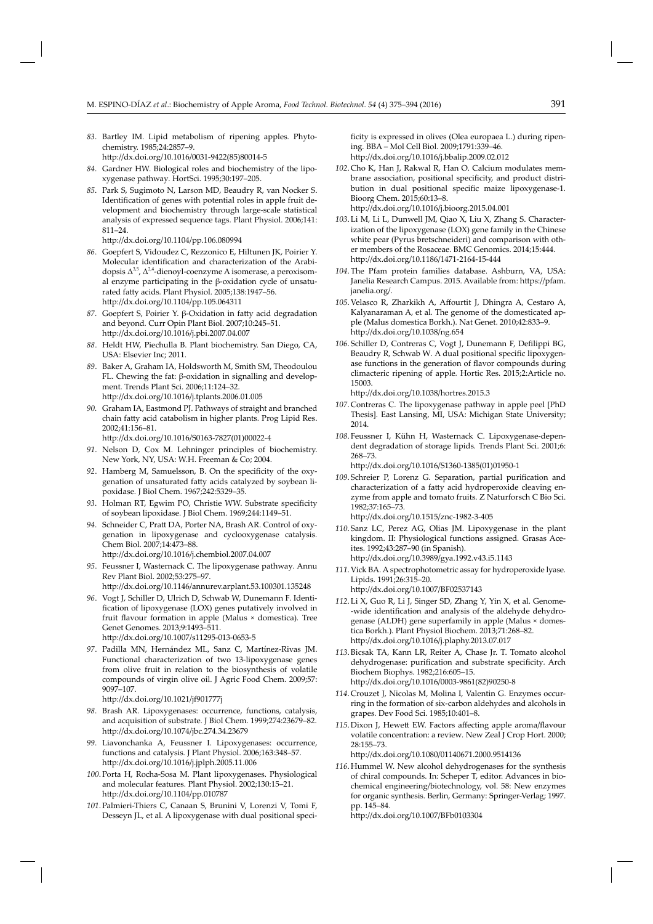- *83*. Bartley IM. Lipid metabolism of ripening apples*.* Phytochemistry. 1985;24:2857–9. http://dx.doi.org/10.1016/0031-9422(85)80014-5
- *84*. Gardner HW. Biological roles and biochemistry of the lipoxygenase pathway*.* HortSci. 1995;30:197–205.
- *85*. Park S, Sugimoto N, Larson MD, Beaudry R, van Nocker S. Identification of genes with potential roles in apple fruit development and biochemistry through large-scale statistical analysis of expressed sequence tags*.* Plant Physiol. 2006;141: 811–24.

http://dx.doi.org/10.1104/pp.106.080994

- *86*. Goepfert S, Vidoudez C, Rezzonico E, Hiltunen JK, Poirier Y. Molecular identification and characterization of the Arabidopsis  $\Delta^{3,5}$ ,  $\Delta^{2,4}$ -dienoyl-coenzyme A isomerase, a peroxisomal enzyme participating in the β-oxidation cycle of unsaturated fatty acids. Plant Physiol. 2005;138:1947-56. http://dx.doi.org/10.1104/pp.105.064311
- 87. Goepfert S, Poirier Y. β-Oxidation in fatty acid degradation and beyond*.* Curr Opin Plant Biol. 2007;10:245–51. http://dx.doi.org/10.1016/j.pbi.2007.04.007
- *88*. Heldt HW, Piechulla B. Plant biochemistry. San Diego, CA, USA: Elsevier Inc; 2011.
- 89. Baker A, Graham IA, Holdsworth M, Smith SM, Theodoulou FL. Chewing the fat: β-oxidation in signalling and development*.* Trends Plant Sci. 2006;11:124–32. http://dx.doi.org/10.1016/j.tplants.2006.01.005
- *90.* Graham IA, Eastmond PJ. Pathways of straight and branched chain fatty acid catabolism in higher plants. Prog Lipid Res. 2002;41:156–81.

http://dx.doi.org/10.1016/S0163-7827(01)00022-4

- *91*. Nelson D, Cox M. Lehninger principles of biochemistry. New York, NY, USA: W.H. Freeman & Co; 2004.
- 92. Hamberg M, Samuelsson, B. On the specificity of the oxygenation of unsaturated fatty acids catalyzed by soybean lipoxidase. J Biol Chem. 1967;242:5329-35.
- 93. Holman RT, Egwim PO, Christie WW. Substrate specificity of soybean lipoxidase*.* J Biol Chem. 1969;244:1149–51.
- 94. Schneider C, Pratt DA, Porter NA, Brash AR. Control of oxygenation in lipoxygenase and cyclooxygenase catalysis*.* Chem Biol. 2007;14:473–88 . http://dx.doi.org/10.1016/j.chembiol.2007.04.007
- *95*. Feussner I, Wasternack C. The lipoxygenase pathway*.* Annu Rev Plant Biol. 2002;53:275–97. http://dx.doi.org/10.1146/annurev.arplant.53.100301.135248
- *96*. Vogt J, Schiller D, Ulrich D, Schwab W, Dunemann F. Identification of lipoxygenase (LOX) genes putatively involved in fruit flavour formation in apple (Malus × domestica). Tree Genet Genomes. 2013;9:1493–511. http://dx.doi.org/10.1007/s11295-013-0653-5
- 97. Padilla MN, Hernández ML, Sanz C, Martínez-Rivas JM. Functional characterization of two 13-lipoxygenase genes from olive fruit in relation to the biosynthesis of volatile compounds of virgin olive oil. J Agric Food Chem. 2009;57: 9097–107.

http://dx.doi.org/10.1021/jf901777j

- *98*. Brash AR. Lipoxygenases: occurrence, functions, catalysis, and acquisition of substrate*.* J Biol Chem. 1999;274:23679–82. http://dx.doi.org/10.1074/jbc.274.34.23679
- *99*. Liavonchanka A, Feussner I. Lipoxygenases: occurrence, functions and catalysis*.* J Plant Physiol. 2006;163:348–57. http://dx.doi.org/10.1016/j.jplph.2005.11.006
- *100*. Porta H, Rocha-Sosa M. Plant lipoxygenases. Physiological and molecular features*.* Plant Physiol. 2002;130:15–21. http://dx.doi.org/10.1104/pp.010787
- *101*. Palmieri-Thiers C, Canaan S, Brunini V, Lorenzi V, Tomi F, Desseyn JL, et al*.* A lipoxygenase with dual positional speci-

ficity is expressed in olives (Olea europaea L.) during ripening*.* BBA – Mol Cell Biol. 2009;1791:339–46. http://dx.doi.org/10.1016/j.bbalip.2009.02.012

- *102*. Cho K, Han J, Rakwal R, Han O. Calcium modulates membrane association, positional specificity, and product distribution in dual positional specific maize lipoxy genase-1. Bioorg Chem. 2015;60:13–8. htt p://dx.doi.org/10.1016/j.bioorg.2015.04.001
- *103*. Li M, Li L, Dunwell JM, Qiao X, Liu X, Zhang S. Characterization of the lipoxygenase (LOX) gene family in the Chinese white pear (Pyrus bretschneideri) and comparison with other members of the Rosaceae*.* BMC Genomics. 2014;15:444. http://dx.doi.org/10.1186/1471-2164-15-444
- *104*. The Pfam protein families database. Ashburn, VA, USA: Janelia Research Campus. 2015. Available from: https://pfam. janelia.org/.
- 105. Velasco R, Zharkikh A, Affourtit J, Dhingra A, Cestaro A, Kalyanaraman A, et al*.* The genome of the domesticated apple (Malus domestica Borkh.)*.* Nat Genet. 2010; 42:833–9. http://dx.doi.org/10.1038/ng.654
- 106. Schiller D, Contreras C, Vogt J, Dunemann F, Defilippi BG, Beaudry R, Schwab W. A dual positional specific lipoxygenase functions in the generation of flavor compounds during climacteric ripening of apple*.* Hortic Res. 2015;2:Article no. 15003.

http://dx.doi.org/10.1038/hortres.2015.3

- *107*. Contreras C. The lipoxygenase pathway in apple peel [PhD Thesis]*.* East Lansing, MI, USA: Michigan State University; 2014.
- *108*. Feussner I, Kühn H, Wasternack C. Lipoxygenase-dependent degradation of storage lipids*.* Trends Plant Sci. 2001;6: 268–73.

http://dx.doi.org/10.1016/S1360-1385(01)01950-1

109. Schreier P, Lorenz G. Separation, partial purification and characterization of a fatty acid hydroperoxide cleaving enzyme from apple and tomato fruits. Z Naturforsch C Bio Sci. 1982;37:165–73.

http://dx.doi.org/10.1515/znc-1982-3-405

- *110*. Sanz LC, Perez AG, Olias JM. Lipoxygenase in the plant kingdom. II: Physiological functions assigned*.* Grasas Aceites. 1992;43:287–90 (in Spanish). http://dx.doi.org/10.3989/gya.1992.v43.i5.1143
- *111*. Vick BA. A spectrophotometric assay for hydroperoxide lyase*.* Lipids. 1991;26:315–20. http://dx.doi.org/10.1007/BF02537143
- 112. Li X, Guo R, Li J, Singer SD, Zhang Y, Yin X, et al. Genome--wide identification and analysis of the aldehyde dehydrogenase (ALDH) gene superfamily in apple (Malus × domestica Borkh.)*.* Plant Physiol Biochem. 2013;71:268–82. htt p://dx.doi.org/10.1016/j.plaphy.2013.07.017
- *113*. Bicsak TA, Kann LR, Reiter A, Chase Jr. T. Tomato alcohol dehydrogenase: purification and substrate specificity. Arch Biochem Biophys. 1982;216:605–15. http://dx.doi.org/10.1016/0003-9861(82)90250-8
- *114*. Crouzet J, Nicolas M, Molina I, Valentin G. Enzymes occurring in the formation of six-carbon aldehydes and alcohols in grapes*.* Dev Food Sci. 1985;10:401–8.
- 115. Dixon J, Hewett EW. Factors affecting apple aroma/flavour volatile concentration: a review*.* New Zeal J Crop Hort. 2000; 28:155–73.

http://dx.doi.org/10.1080/01140671.2000.9514136

*116*. Hummel W. New alcohol dehydrogenases for the synthesis of chiral compounds. In: Scheper T, editor. Advances in biochemical engineering/biotechnology, vol. 58: New enzymes for organic synthesis. Berlin, Germany: Springer-Verlag; 1997. pp. 145–84.

http://dx.doi.org/10.1007/BFb0103304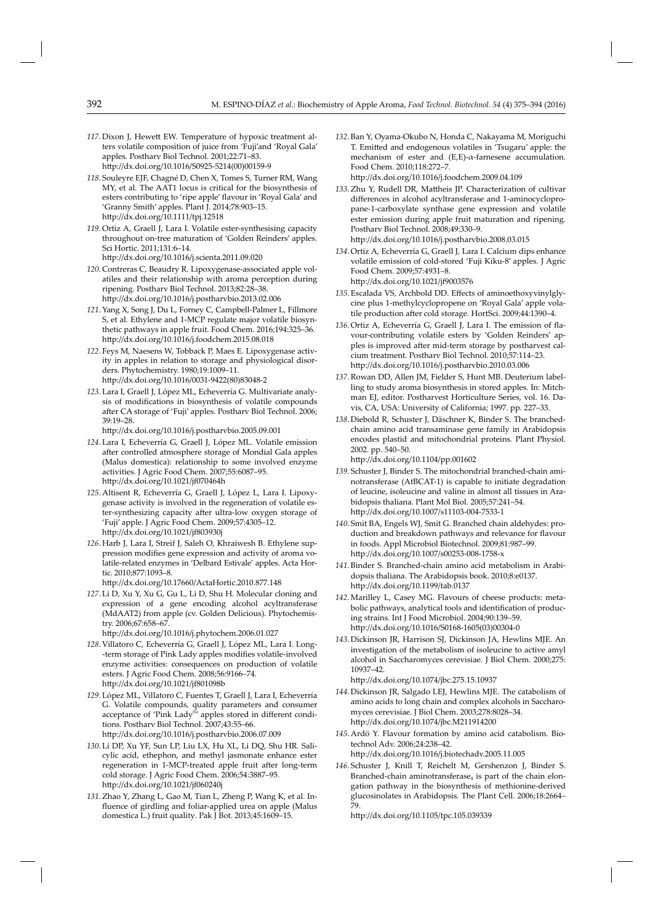- *117*. Dixon J, Hewett EW. Temperature of hypoxic treatment alters volatile composition of juice from 'Fuji'and 'Royal Gala' apples*.* Postharv Biol Technol. 2001;22:71–83. http://dx.doi.org/10.1016/S0925-5214(00)00159-9
- *118*. Souleyre EJF, Chagné D, Chen X, Tomes S, Turner RM, Wang MY, et al*.* The AAT1 locus is critical for the biosynthesis of esters contributing to 'ripe apple' flavour in 'Royal Gala' and 'Granny Smith' apples*.* Plant J. 2014;78:903–15. http://dx.doi.org/10.1111/tpj.12518
- *119*. Ortiz A, Graell J, Lara I. Volatile ester-synthesising capacity throughout on-tree maturation of 'Golden Reinders' apples*.* Sci Hortic. 2011;131:6–14. http://dx.doi.org/10.1016/j.scienta.2011.09.020
- *120*. Contreras C, Beaudry R. Lipoxygenase-associated apple volatiles and their relationship with aroma perception during ripening*.* Postharv Biol Technol. 2013;82:28–38. http://dx.doi.org/10.1016/j.postharvbio.2013.02.006
- *121*. Yang X, Song J, Du L, Forney C, Campbell-Palmer L, Fillmore S, et al*.* Ethylene and 1-MCP regulate major volatile biosynthetic pathways in apple fruit*.* Food Chem. 2016;194:325–36. http://dx.doi.org/10.1016/j.foodchem.2015.08.018
- *122*. Feys M, Naesens W, Tobback P, Maes E. Lipoxygenase activity in apples in relation to storage and physiological disorders*.* Phytochemistry. 1980;19:1009–11. http://dx.doi.org/10.1016/0031-9422(80)83048-2
- *123*. Lara I, Graell J, López ML, Echeverría G. Multivariate analysis of modifications in biosynthesis of volatile compounds after CA storage of 'Fuji' apples. Postharv Biol Technol. 2006;  $39.19 - 28.$

http://dx.doi.org/10.1016/j.postharvbio.2005.09.001

- *124*. Lara I, Echeverría G, Graell J, López ML. Volatile emission after controlled atmosphere storage of Mondial Gala apples (Malus domestica): relationship to some involved enzyme activities*.* J Agric Food Chem. 2007;55:6087–95. http://dx.doi.org/10.1021/jf070464h
- *125*. Altisent R, Echeverría G, Graell J, López L, Lara I. Lipoxygenase activity is involved in the regeneration of volatile ester-synthesizing capacity after ultra-low oxygen storage of 'Fuji' apple. J Agric Food Chem. 2009;57:4305-12. http://dx.doi.org/10.1021/jf803930j
- *126*. Harb J, Lara I, Streif J, Saleh O, Khraiwesh B. Ethylene suppression modifies gene expression and activity of aroma volatile-related enzymes in 'Delbard Estivale' apples. Acta Hortic. 2010;877:1093–8.

http://dx.doi.org/10.17660/ActaHortic.2010.877.148

*127*. Li D, Xu Y, Xu G, Gu L, Li D, Shu H. Molecular cloning and expression of a gene encoding alcohol acyltransferase (MdAAT2) from apple (cv. Golden Delicious)*.* Phytochemistry. 2006;67:658–67.

http://dx.doi.org/10.1016/j.phytochem.2006.01.027

- 128. Villatoro C, Echeverría G, Graell J, López ML, Lara I. Long--term storage of Pink Lady apples modifies volatile-involved enzyme activities: consequences on production of volatile esters*.* J Agric Food Chem. 2008;56:9 166–74. http://dx.doi.org/10.1021/jf801098b
- *129*. López ML, Villatoro C, Fuentes T, Graell J, Lara I, Echeverría G. Volatile compounds, quality parameters and consumer acceptance of 'Pink Lady®' apples stored in different conditions*.* Postharv Biol Technol. 2007;43:55–66. http://dx.doi.org/10.1016/j.postharvbio.2006.07.009
- *130*. Li DP, Xu YF, Sun LP, Liu LX, Hu XL, Li DQ, Shu HR*.* Salicylic acid, ethephon, and methyl jasmonate enhance ester regeneration in 1-MCP-treated apple fruit after long-term cold storage. J Agric Food Chem. 2006;54:3887–95. http://dx.doi.org/10.1021/jf060240j
- *131*. Zhao Y, Zhang L, Gao M, Tian L, Zheng P, Wang K, et al. Influence of girdling and foliar-applied urea on apple (Malus domestica L.) fruit quality*.* Pak J Bot. 2013;45:1609–15.

*132*. Ban Y, Oyama-Okubo N, Honda C, Nakayama M, Moriguchi T. Emitted and endogenous volatiles in 'Tsugaru' apple: the mechanism of ester and (E,E)-α-farnesene accumulation*.* Food Chem. 2010;118:272–7.

htt p:/ / dx. doi. org/10.1016/j.foodchem.2009 .04.109

- 133. Zhu Y, Rudell DR, Mattheis JP. Characterization of cultivar differences in alcohol acyltransferase and 1-aminocyclopropane-1-carboxylate synthase gene expression and volatile ester emission during apple fruit maturation and ripening*.* Postharv Biol Technol. 2008;49:330-9. http://dx.doi.org/10.1016/j.postharvbio.2008.03.015
- *134*. Ortiz A, Echeverría G, Graell J, Lara I. Calcium dips enhance volatile emission of cold-stored 'Fuji Kiku-8' apples*.* J Agric Food Chem. 2009;57:4931–8.

http://dx.doi.org/10.1021/jf9003576

- 135. Escalada VS, Archbold DD. Effects of aminoethoxyvinylgly cine plus 1-methylcyclopropene on 'Royal Gala' apple volatile production after cold storage. HortSci. 2009;44:1390-4.
- 136. Ortiz A, Echeverría G, Graell J, Lara I. The emission of flavour-contributing volatile esters by 'Golden Reinders' apples is improved after mid-term storage by postharvest calcium treatment*.* Postharv Biol Technol. 2010;57:114–23. http://dx.doi.org/10.1016/j.postharvbio.2010.03.006
- *137*. Rowan DD, Allen JM, Fielder S, Hunt MB. Deuterium labelling to study aroma biosynthesis in stored apples*.* In: Mitchman EJ, editor. Postharvest Horticulture Series, vol. 16. Davis, CA, USA: University of California; 1997. pp. 227–33.
- 138. Diebold R, Schuster J, Däschner K, Binder S. The branchedchain amino acid transaminase gene family in Arabidopsis encodes plastid and mitochondrial proteins*.* Plant Physiol. 2002. pp. 540–50.

http://dx.doi.org/10.1104/pp.001602

- 139. Schuster J, Binder S. The mitochondrial branched-chain aminotransferase (AtBCAT-1) is capable to initiate degradation of leucine, isoleucine and valine in almost all tissues in Arabidopsis thaliana*.* Plant Mol Biol. 2005;57:241–54. http://dx.doi.org/10.1007/s11103-004-7533-1
- *140*. Smit BA, Engels WJ, Smit G. Branched chain aldehydes: production and breakdown pathways and relevance for flavour in foods*.* Appl Microbiol Biotechnol. 2009;81:987–99. http://dx.doi.org/10.1007/s00253-008-1758-x
- *141*. Binder S. Branched-chain amino acid metabolism in Arabidopsis thaliana*.* The Arabidopsis book. 2010;8:e0137. http://dx.doi.org/10.1199/tab.0137
- *142*. Marilley L, Casey MG. Flavours of cheese products: metabolic pathways, analytical tools and identification of producing strains. Int J Food Microbiol. 2004;90:139-59. http://dx.doi.org/10.1016/S0168-1605(03)00304-0
- *143*. Dickinson JR, Harrison SJ, Dickinson JA, Hewlins MJE. An investigation of the metabolism of isoleucine to active amyl alcohol in Saccharomyces cerevisiae. J Biol Chem. 2000;275: 10937–42.

http://dx.doi.org/10.1074/jbc.275.15.10937

- *144*. Dickinson JR, Salgado LEJ, Hewlins MJE. The catabolism of amino acids to long chain and complex alcohols in Saccharomyces cerevisiae. J Biol Chem. 2003;278:8028-34. http://dx.doi.org/10.1074/jbc.M211914200
- *145*. Ardö Y. Flavour formation by amino acid catabolism*.* Biotechnol Adv. 2006;24:238–42.

http://dx.doi.org/10.1016/j.biotechadv.2005.11.005

*146*. Schuster J, Knill T, Reichelt M, Gershenzon J, Binder S. Branched-chain aminotransferase $_4$  is part of the chain elongation pathway in the biosynthesis of methionine-derived glucosinolates in Arabidopsis*.* The Plant Cell. 2006;18:2664– 79.

http://dx.doi.org/10.1105/tpc.105.039339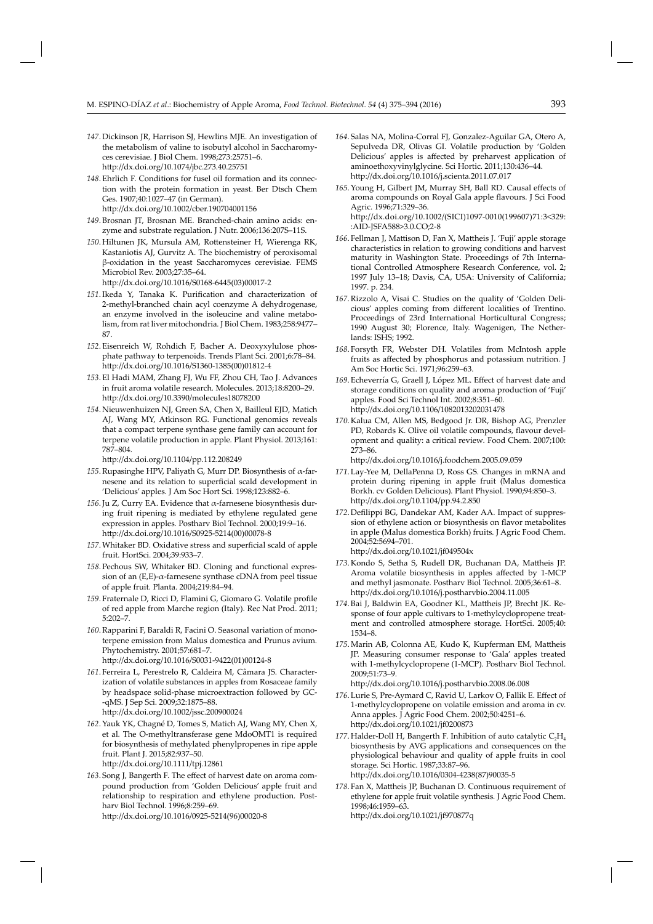- *147*. Dickinson JR, Harrison SJ, Hewlins MJE. An investigation of the metabolism of valine to isobutyl alcohol in Saccharomyces cerevisiae*.* J Biol Chem. 1998;273:25751–6. http://dx.doi.org/10.1074/jbc.273.40.25751
- *148*. Ehrlich F. Conditions for fusel oil formation and its connection with the protein formation in yeast*.* Ber Dtsch Chem Ges. 1907;40:1027–47 (in German). http://dx.doi.org/10.1002/cber.190704001156
- *149*. Brosnan JT, Brosnan ME. Branched-chain amino acids: enzyme and substrate regulation*.* J Nutr. 2006;136:207S–11S.
- 150. Hiltunen JK, Mursula AM, Rottensteiner H, Wierenga RK, Kastaniotis AJ, Gurvitz A. The biochemistry of peroxisomal β-oxidation in the yeast Saccharomyces cerevisiae*.* FEMS Microbiol Rev. 2003;27:35-64. http://dx.doi.org/10.1016/S0168-6445(03)00017-2
- 151. Ikeda Y, Tanaka K. Purification and characterization of 2-methyl-branched chain acyl coenzyme A dehydrogenase, an enzyme involved in the isoleucine and valine metabolism, from rat liver mitochondria*.* J Biol Chem. 1983;258:9477– 87.
- *152*. Eisenreich W, Rohdich F, Bacher A. Deoxyxylulose phosphate pathway to terpenoids*.* Trends Plant Sci. 2001;6:78–84. htt p://dx.doi.org/10.1016/S1360-1385(00)01812-4
- *153*. El Hadi MAM, Zhang FJ, Wu FF, Zhou CH, Tao J. Advances in fruit aroma volatile research*.* Molecules. 2013;18:8200–29. http://dx.doi.org/10.3390/molecules18078200
- 154. Nieuwenhuizen NJ, Green SA, Chen X, Bailleul EJD, Matich AJ, Wang MY, Atkinson RG. Functional genomics reveals that a compact terpene synthase gene family can account for terpene volatile production in apple. Plant Physiol. 2013;161: 787–804.

http://dx.doi.org/10.1104/pp.112.208249

- *155*. Rupasinghe HPV, Paliyath G, Murr DP. Biosynthesis of α-farnesene and its relation to superficial scald development in 'Delicious' apples*.* J Am Soc Hort Sci. 1998;123:882–6.
- *156*. Ju Z, Curry EA . Evidence that α-farnesene biosynthesis during fruit ripening is mediated by ethylene regulated gene expression in apples*.* Postharv Biol Technol. 2000;19:9–16. http://dx.doi.org/10.1016/S0925-5214(00)00078-8
- 157. Whitaker BD. Oxidative stress and superficial scald of apple fruit*.* HortSci. 2004;39:933–7.
- *158*. Pechous SW, Whitaker BD. Cloning and functional expression of an  $(E,E)$ - $\alpha$ -farnesene synthase cDNA from peel tissue of apple fruit*.* Planta. 2004;219:84–94.
- 159. Fraternale D, Ricci D, Flamini G, Giomaro G. Volatile profile of red apple from Marche region (Italy)*.* Rec Nat Prod. 2011; 5:202–7.
- *160*. Rapparini F, Baraldi R, Facini O. Seasonal variation of monoterpene emission from Malus domestica and Prunus avium. Phytochemistry. 2001;57:681–7. http://dx.doi.org/10.1016/S0031-9422(01)00124-8
- 161. Ferreira L, Perestrelo R, Caldeira M, Câmara JS. Characterization of volatile substances in apples from Rosaceae family by headspace solid-phase microextraction followed by GC- -qMS*.* J Sep Sci. 2009;32:1875–88.

http://dx.doi.org/10.1002/jssc.200900024

- *162*. Yauk YK, Chagné D, Tomes S, Matich AJ, Wang MY, Chen X, et al*.* The O-methyltransferase gene MdoOMT1 is required for biosynthesis of methylated phenylpropenes in ripe apple fruit*.* Plant J. 2015;82:937–50. http://dx.doi.org/10.1111/tpj.12861
- 163. Song J, Bangerth F. The effect of harvest date on aroma compound production from 'Golden Delicious' apple fruit and relationship to respiration and ethylene production*.* Postharv Biol Technol. 1996;8:259–69.
	- http://dx.doi.org/10.1016/0925-5214(96)00020-8
- *164*. Salas NA, Molina-Corral FJ, Gonzalez-Aguilar GA, Otero A, Sepulveda DR, Olivas GI. Volatile production by 'Golden Delicious' apples is affected by preharvest application of aminoethoxyvinylglycine*.* Sci Hortic. 2011;130:436–44. http://dx.doi.org/10.1016/j.scienta.2011.07.017
- 165. Young H, Gilbert JM, Murray SH, Ball RD. Causal effects of aroma compounds on Royal Gala apple flavours. J Sci Food Agric. 1996;71:329–36. http://dx.doi.org/10.1002/(SICI)1097-0010(199607)71:3<329: :AID-JSFA588>3.0.CO;2-8
- 166. Fellman J, Mattison D, Fan X, Mattheis J. 'Fuji' apple storage characteristics in relation to growing conditions and harvest maturity in Washington State. Proceedings of 7th International Controlled Atmosphere Research Conference, vol. 2; 1997 July 13-18; Davis, CA, USA: University of California; 1997. p. 234.
- *167*. Rizzolo A, Visai C. Studies on the quality of 'Golden Delicious' apples coming from different localities of Trentino. Proceedings of 23rd International Horticultural Congress; 1990 August 30; Florence, Italy. Wagenigen, The Netherlands: ISHS; 1992.
- 168. Forsyth FR, Webster DH. Volatiles from McIntosh apple fruits as affected by phosphorus and potassium nutrition. J Am Soc Hortic Sci. 1971;96:259–63.
- 169. Echeverría G, Graell J, López ML. Effect of harvest date and storage conditions on quality and aroma production of 'Fuji' apples*.* Food Sci Technol Int. 2002;8:351–60. http://dx.doi.org/10.1106/1082013202031478
- *170*. Kalua CM, Allen MS, Bedgood Jr. DR, Bishop AG, Prenzler PD, Robards K. Olive oil volatile compounds, flavour development and quality: a critical review*.* Food Chem. 2007;100: 273–86.

http://dx.doi.org/10.1016/j.foodchem.2005.09.059

- *171*. Lay-Yee M, DellaPenna D, Ross GS. Changes in mRNA and protein during ripening in apple fruit (Malus domestica Borkh. cv Golden Delicious)*.* Plant Physiol. 1990;94:850–3. http://dx.doi.org/10.1104/pp.94.2.850
- 172. Defilippi BG, Dandekar AM, Kader AA. Impact of suppression of ethylene action or biosynthesis on flavor metabolites in apple (Malus domestica Borkh) fruits*.* J Agric Food Chem. 2004;52:5694–701. http://dx.doi.org/10.1021/jf049504x
- 173. Kondo S, Setha S, Rudell DR, Buchanan DA, Mattheis JP. Aroma volatile biosynthesis in apples affected by 1-MCP and methyl jasmonate*.* Postharv Biol Technol. 2005;36:61–8. http://dx.doi.org/10.1016/j.postharvbio.2004.11.005
- 174. Bai J, Baldwin EA, Goodner KL, Mattheis JP, Brecht JK. Response of four apple cultivars to 1-methylcyclopropene treatment and controlled atmosphere storage*.* HortSci. 2005;40: 1534–8.
- 175. Marin AB, Colonna AE, Kudo K, Kupferman EM, Mattheis JP. Measuring consumer response to 'Gala' apples treated with 1-methylcyclopropene (1-MCP)*.* Postharv Biol Technol. 2009;51:73–9.

http://dx.doi.org/10.1016/j.postharvbio.2008.06.008

- 176. Lurie S, Pre-Aymard C, Ravid U, Larkov O, Fallik E. Effect of 1-methylcyclopropene on volatile emission and aroma in cv. Anna apples*.* J Agric Food Chem. 2002;50:4251–6. http://dx.doi.org/10.1021/jf0200873
- 177. Halder-Doll H, Bangerth F. Inhibition of auto catalytic  $C_2H_4$ biosynthesis by AVG applications and consequences on the physiological behaviour and quality of apple fruits in cool storage*.* Sci Hortic. 1987;33:87–96. http://dx.doi.org/10.1016/0304-4238(87)90035-5
- 178. Fan X, Mattheis JP, Buchanan D. Continuous requirement of ethylene for apple fruit volatile synthesis*.* J Agric Food Chem. 1998;46:1959–63.

http://dx.doi.org/10.1021/jf970877q